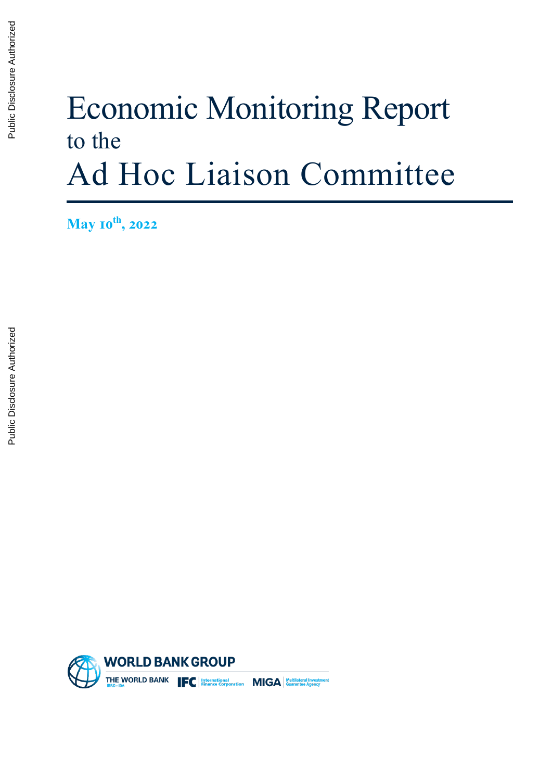# Economic Monitoring Report to the Ad Hoc Liaison Committee

**May 10th, 2022**

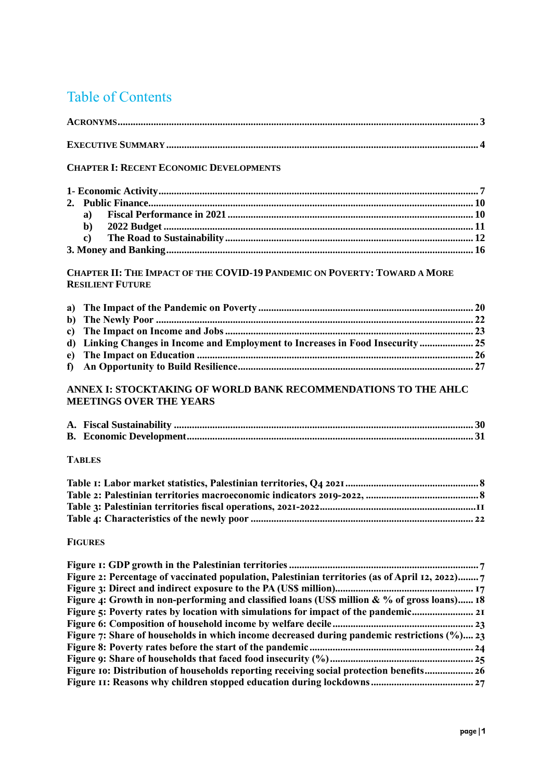# Table of Contents

#### **CHAPTER I: RECENT ECONOMIC D[EVELOPMENTS](#page-7-0)**

| $b$ |  |
|-----|--|
|     |  |
|     |  |

#### **CHAPTER II: THE IMPACT OF THE COVID-19 PANDEMIC ON POVERTY: TOWARD A MORE RESILIENT FUTURE**

| d) Linking Changes in Income and Employment to Increases in Food Insecurity 25 |  |
|--------------------------------------------------------------------------------|--|
|                                                                                |  |
|                                                                                |  |

#### **ANNEX I: STOCKTAKING OF WORLD BANK RECOMMENDATIONS TO THE AHLC MEETINGS OVER THE YEARS**

#### **TABLES**

#### **FIGURES**

| Figure 2: Percentage of vaccinated population, Palestinian territories (as of April 12, 2022) |
|-----------------------------------------------------------------------------------------------|
|                                                                                               |
| Figure 4: Growth in non-performing and classified loans (US\$ million & % of gross loans) 18  |
| Figure 5: Poverty rates by location with simulations for impact of the pandemic               |
|                                                                                               |
| Figure 7: Share of households in which income decreased during pandemic restrictions (%) 23   |
|                                                                                               |
|                                                                                               |
| Figure 10: Distribution of households reporting receiving social protection benefits 26       |
|                                                                                               |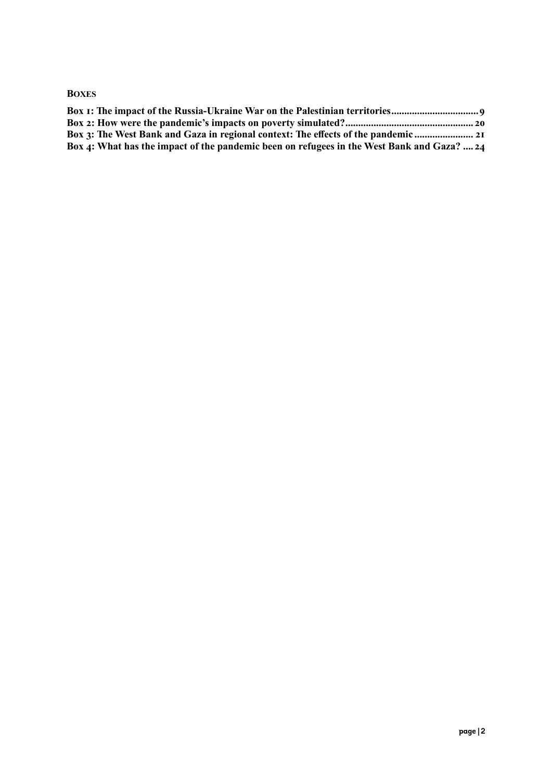#### **BOXES**

| Box 3: The West Bank and Gaza in regional context: The effects of the pandemic             |
|--------------------------------------------------------------------------------------------|
| Box 4: What has the impact of the pandemic been on refugees in the West Bank and Gaza?  24 |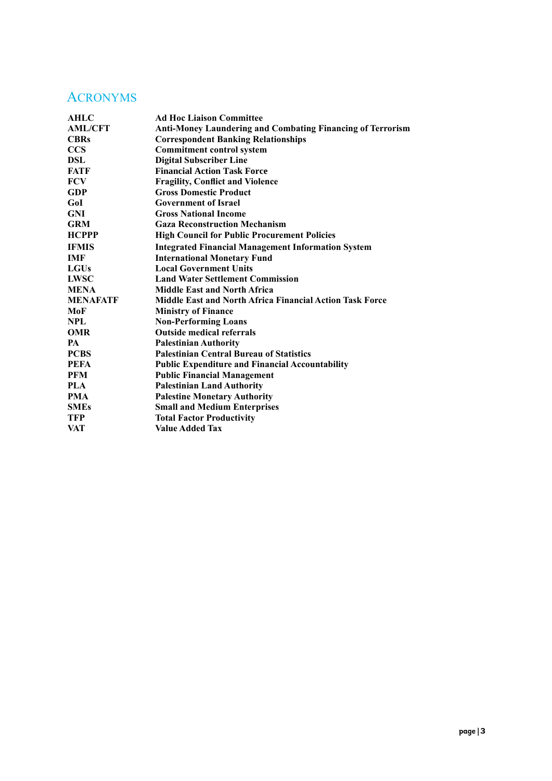## <span id="page-3-0"></span>ACRONYMS

| AHLC            | <b>Ad Hoc Liaison Committee</b>                                   |
|-----------------|-------------------------------------------------------------------|
| <b>AML/CFT</b>  | <b>Anti-Money Laundering and Combating Financing of Terrorism</b> |
| <b>CBRs</b>     | <b>Correspondent Banking Relationships</b>                        |
| <b>CCS</b>      | <b>Commitment control system</b>                                  |
| DSL             | <b>Digital Subscriber Line</b>                                    |
| FATF            | <b>Financial Action Task Force</b>                                |
| <b>FCV</b>      | <b>Fragility, Conflict and Violence</b>                           |
| <b>GDP</b>      | <b>Gross Domestic Product</b>                                     |
| GoI             | <b>Government of Israel</b>                                       |
| <b>GNI</b>      | <b>Gross National Income</b>                                      |
| <b>GRM</b>      | <b>Gaza Reconstruction Mechanism</b>                              |
| <b>HCPPP</b>    | <b>High Council for Public Procurement Policies</b>               |
| <b>IFMIS</b>    | <b>Integrated Financial Management Information System</b>         |
| <b>IMF</b>      | <b>International Monetary Fund</b>                                |
| <b>LGUs</b>     | <b>Local Government Units</b>                                     |
| <b>LWSC</b>     | <b>Land Water Settlement Commission</b>                           |
| <b>MENA</b>     | <b>Middle East and North Africa</b>                               |
| <b>MENAFATF</b> | <b>Middle East and North Africa Financial Action Task Force</b>   |
| MoF             | <b>Ministry of Finance</b>                                        |
| <b>NPL</b>      | <b>Non-Performing Loans</b>                                       |
| <b>OMR</b>      | <b>Outside medical referrals</b>                                  |
| <b>PA</b>       | <b>Palestinian Authority</b>                                      |
| <b>PCBS</b>     | <b>Palestinian Central Bureau of Statistics</b>                   |
| <b>PEFA</b>     | <b>Public Expenditure and Financial Accountability</b>            |
| <b>PFM</b>      | <b>Public Financial Management</b>                                |
| <b>PLA</b>      | <b>Palestinian Land Authority</b>                                 |
| <b>PMA</b>      | <b>Palestine Monetary Authority</b>                               |
| <b>SMEs</b>     | <b>Small and Medium Enterprises</b>                               |
| <b>TFP</b>      | <b>Total Factor Productivity</b>                                  |
| VAT             | <b>Value Added Tax</b>                                            |
|                 |                                                                   |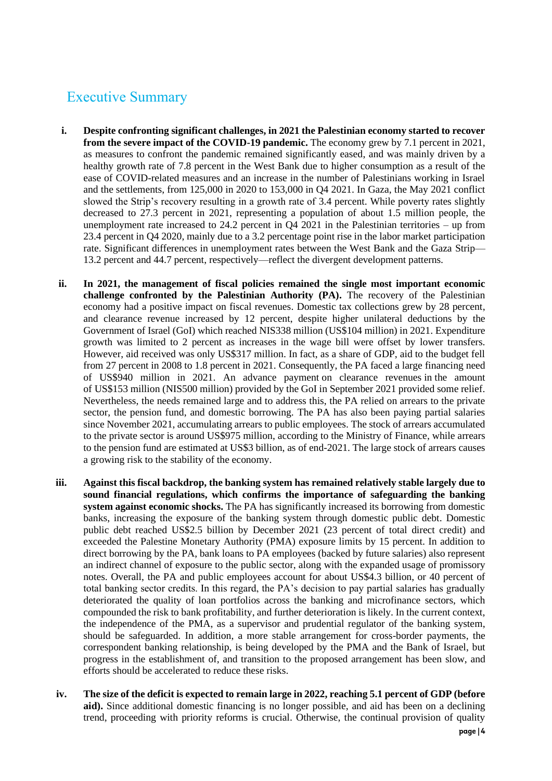# <span id="page-4-0"></span>Executive Summary

- **i. Despite confronting significant challenges, in 2021 the Palestinian economy started to recover from the severe impact of the COVID-19 pandemic.** The economy grew by 7.1 percent in 2021, as measures to confront the pandemic remained significantly eased, and was mainly driven by a healthy growth rate of 7.8 percent in the West Bank due to higher consumption as a result of the ease of COVID-related measures and an increase in the number of Palestinians working in Israel and the settlements, from 125,000 in 2020 to 153,000 in Q4 2021. In Gaza, the May 2021 conflict slowed the Strip's recovery resulting in a growth rate of 3.4 percent. While poverty rates slightly decreased to 27.3 percent in 2021, representing a population of about 1.5 million people, the unemployment rate increased to 24.2 percent in Q4 2021 in the Palestinian territories – up from 23.4 percent in Q4 2020, mainly due to a 3.2 percentage point rise in the labor market participation rate. Significant differences in unemployment rates between the West Bank and the Gaza Strip— 13.2 percent and 44.7 percent, respectively—reflect the divergent development patterns.
- **ii. In 2021, the management of fiscal policies remained the single most important economic challenge confronted by the Palestinian Authority (PA).** The recovery of the Palestinian economy had a positive impact on fiscal revenues. Domestic tax collections grew by 28 percent, and clearance revenue increased by 12 percent, despite higher unilateral deductions by the Government of Israel (GoI) which reached NIS338 million (US\$104 million) in 2021. Expenditure growth was limited to 2 percent as increases in the wage bill were offset by lower transfers. However, aid received was only US\$317 million. In fact, as a share of GDP, aid to the budget fell from 27 percent in 2008 to 1.8 percent in 2021. Consequently, the PA faced a large financing need of US\$940 million in 2021. An advance payment on clearance revenues in the amount of US\$153 million (NIS500 million) provided by the GoI in September 2021 provided some relief. Nevertheless, the needs remained large and to address this, the PA relied on arrears to the private sector, the pension fund, and domestic borrowing. The PA has also been paying partial salaries since November 2021, accumulating arrears to public employees. The stock of arrears accumulated to the private sector is around US\$975 million, according to the Ministry of Finance, while arrears to the pension fund are estimated at US\$3 billion, as of end-2021. The large stock of arrears causes a growing risk to the stability of the economy.
- **iii. Against this fiscal backdrop, the banking system has remained relatively stable largely due to sound financial regulations, which confirms the importance of safeguarding the banking system against economic shocks.** The PA has significantly increased its borrowing from domestic banks, increasing the exposure of the banking system through domestic public debt. Domestic public debt reached US\$2.5 billion by December 2021 (23 percent of total direct credit) and exceeded the Palestine Monetary Authority (PMA) exposure limits by 15 percent. In addition to direct borrowing by the PA, bank loans to PA employees (backed by future salaries) also represent an indirect channel of exposure to the public sector, along with the expanded usage of promissory notes. Overall, the PA and public employees account for about US\$4.3 billion, or 40 percent of total banking sector credits. In this regard, the PA's decision to pay partial salaries has gradually deteriorated the quality of loan portfolios across the banking and microfinance sectors, which compounded the risk to bank profitability, and further deterioration is likely. In the current context, the independence of the PMA, as a supervisor and prudential regulator of the banking system, should be safeguarded. In addition, a more stable arrangement for cross-border payments, the correspondent banking relationship, is being developed by the PMA and the Bank of Israel, but progress in the establishment of, and transition to the proposed arrangement has been slow, and efforts should be accelerated to reduce these risks.
- **iv. The size of the deficit is expected to remain large in 2022, reaching 5.1 percent of GDP (before aid).** Since additional domestic financing is no longer possible, and aid has been on a declining trend, proceeding with priority reforms is crucial. Otherwise, the continual provision of quality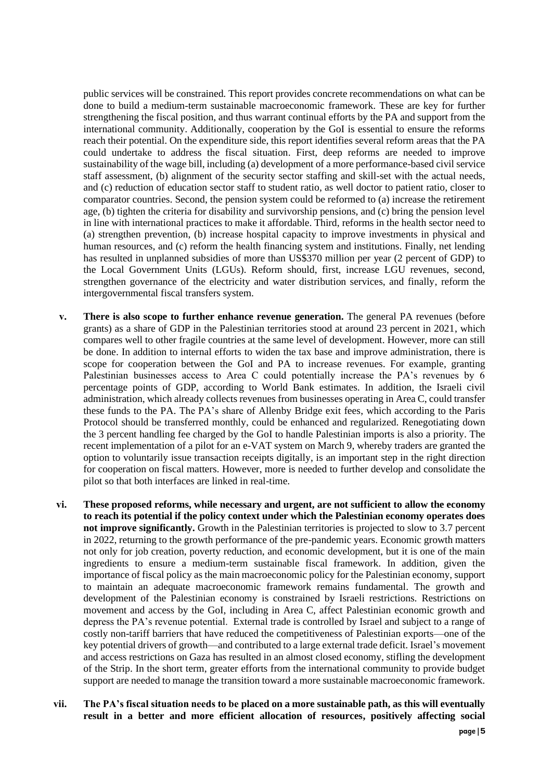public services will be constrained. This report provides concrete recommendations on what can be done to build a medium-term sustainable macroeconomic framework. These are key for further strengthening the fiscal position, and thus warrant continual efforts by the PA and support from the international community. Additionally, cooperation by the GoI is essential to ensure the reforms reach their potential. On the expenditure side, this report identifies several reform areas that the PA could undertake to address the fiscal situation. First, deep reforms are needed to improve sustainability of the wage bill, including (a) development of a more performance-based civil service staff assessment, (b) alignment of the security sector staffing and skill-set with the actual needs, and (c) reduction of education sector staff to student ratio, as well doctor to patient ratio, closer to comparator countries. Second, the pension system could be reformed to (a) increase the retirement age, (b) tighten the criteria for disability and survivorship pensions, and (c) bring the pension level in line with international practices to make it affordable. Third, reforms in the health sector need to (a) strengthen prevention, (b) increase hospital capacity to improve investments in physical and human resources, and (c) reform the health financing system and institutions. Finally, net lending has resulted in unplanned subsidies of more than US\$370 million per year (2 percent of GDP) to the Local Government Units (LGUs). Reform should, first, increase LGU revenues, second, strengthen governance of the electricity and water distribution services, and finally, reform the intergovernmental fiscal transfers system.

- **v. There is also scope to further enhance revenue generation.** The general PA revenues (before grants) as a share of GDP in the Palestinian territories stood at around 23 percent in 2021, which compares well to other fragile countries at the same level of development. However, more can still be done. In addition to internal efforts to widen the tax base and improve administration, there is scope for cooperation between the GoI and PA to increase revenues. For example, granting Palestinian businesses access to Area C could potentially increase the PA's revenues by 6 percentage points of GDP, according to World Bank estimates. In addition, the Israeli civil administration, which already collects revenues from businesses operating in Area C, could transfer these funds to the PA. The PA's share of Allenby Bridge exit fees, which according to the Paris Protocol should be transferred monthly, could be enhanced and regularized. Renegotiating down the 3 percent handling fee charged by the GoI to handle Palestinian imports is also a priority. The recent implementation of a pilot for an e-VAT system on March 9, whereby traders are granted the option to voluntarily issue transaction receipts digitally, is an important step in the right direction for cooperation on fiscal matters. However, more is needed to further develop and consolidate the pilot so that both interfaces are linked in real-time.
- **vi. These proposed reforms, while necessary and urgent, are not sufficient to allow the economy to reach its potential if the policy context under which the Palestinian economy operates does not improve significantly.** Growth in the Palestinian territories is projected to slow to 3.7 percent in 2022, returning to the growth performance of the pre-pandemic years. Economic growth matters not only for job creation, poverty reduction, and economic development, but it is one of the main ingredients to ensure a medium-term sustainable fiscal framework. In addition, given the importance of fiscal policy as the main macroeconomic policy for the Palestinian economy, support to maintain an adequate macroeconomic framework remains fundamental. The growth and development of the Palestinian economy is constrained by Israeli restrictions. Restrictions on movement and access by the GoI, including in Area C, affect Palestinian economic growth and depress the PA's revenue potential. External trade is controlled by Israel and subject to a range of costly non-tariff barriers that have reduced the competitiveness of Palestinian exports—one of the key potential drivers of growth—and contributed to a large external trade deficit. Israel's movement and access restrictions on Gaza has resulted in an almost closed economy, stifling the development of the Strip. In the short term, greater efforts from the international community to provide budget support are needed to manage the transition toward a more sustainable macroeconomic framework.
- **vii. The PA's fiscal situation needs to be placed on a more sustainable path, as this will eventually result in a better and more efficient allocation of resources, positively affecting social**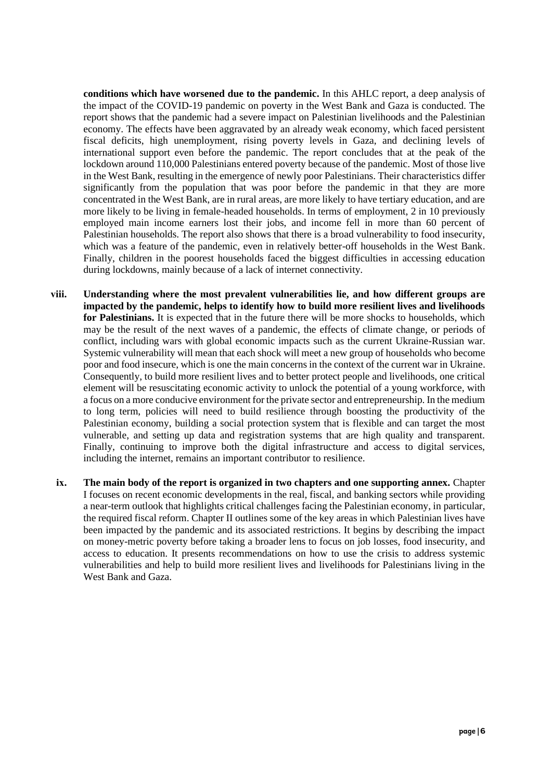**conditions which have worsened due to the pandemic.** In this AHLC report, a deep analysis of the impact of the COVID-19 pandemic on poverty in the West Bank and Gaza is conducted. The report shows that the pandemic had a severe impact on Palestinian livelihoods and the Palestinian economy. The effects have been aggravated by an already weak economy, which faced persistent fiscal deficits, high unemployment, rising poverty levels in Gaza, and declining levels of international support even before the pandemic. The report concludes that at the peak of the lockdown around 110,000 Palestinians entered poverty because of the pandemic. Most of those live in the West Bank, resulting in the emergence of newly poor Palestinians. Their characteristics differ significantly from the population that was poor before the pandemic in that they are more concentrated in the West Bank, are in rural areas, are more likely to have tertiary education, and are more likely to be living in female-headed households. In terms of employment, 2 in 10 previously employed main income earners lost their jobs, and income fell in more than 60 percent of Palestinian households. The report also shows that there is a broad vulnerability to food insecurity, which was a feature of the pandemic, even in relatively better-off households in the West Bank. Finally, children in the poorest households faced the biggest difficulties in accessing education during lockdowns, mainly because of a lack of internet connectivity.

- **viii. Understanding where the most prevalent vulnerabilities lie, and how different groups are impacted by the pandemic, helps to identify how to build more resilient lives and livelihoods for Palestinians.** It is expected that in the future there will be more shocks to households, which may be the result of the next waves of a pandemic, the effects of climate change, or periods of conflict, including wars with global economic impacts such as the current Ukraine-Russian war. Systemic vulnerability will mean that each shock will meet a new group of households who become poor and food insecure, which is one the main concerns in the context of the current war in Ukraine. Consequently, to build more resilient lives and to better protect people and livelihoods, one critical element will be resuscitating economic activity to unlock the potential of a young workforce, with a focus on a more conducive environment for the private sector and entrepreneurship. In the medium to long term, policies will need to build resilience through boosting the productivity of the Palestinian economy, building a social protection system that is flexible and can target the most vulnerable, and setting up data and registration systems that are high quality and transparent. Finally, continuing to improve both the digital infrastructure and access to digital services, including the internet, remains an important contributor to resilience.
- **ix. The main body of the report is organized in two chapters and one supporting annex.** Chapter I focuses on recent economic developments in the real, fiscal, and banking sectors while providing a near-term outlook that highlights critical challenges facing the Palestinian economy, in particular, the required fiscal reform. Chapter II outlines some of the key areas in which Palestinian lives have been impacted by the pandemic and its associated restrictions. It begins by describing the impact on money-metric poverty before taking a broader lens to focus on job losses, food insecurity, and access to education. It presents recommendations on how to use the crisis to address systemic vulnerabilities and help to build more resilient lives and livelihoods for Palestinians living in the West Bank and Gaza.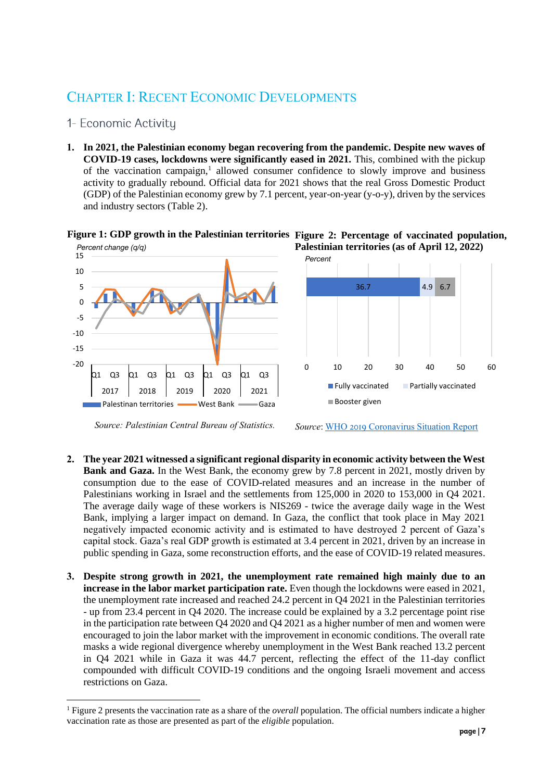# <span id="page-7-0"></span>CHAPTER I: RECENT ECONOMIC DEVELOPMENTS

- <span id="page-7-1"></span>1- Economic Activity
- **1. In 2021, the Palestinian economy began recovering from the pandemic. Despite new waves of COVID-19 cases, lockdowns were significantly eased in 2021.** This, combined with the pickup of the vaccination campaign, $<sup>1</sup>$  allowed consumer confidence to slowly improve and business</sup> activity to gradually rebound. Official data for 2021 shows that the real Gross Domestic Product (GDP) of the Palestinian economy grew by 7.1 percent, year-on-year (y-o-y), driven by the services and industry sectors (Table 2).



**Figure 1: GDP growth in the Palestinian territories Figure 2: Percentage of vaccinated population,** 

 *Source: Palestinian Central Bureau of Statistics.*

*Source*: [WHO 2019 Coronavirus Situation Report](https://who18.createsend.com/campaigns/reports/viewCampaign.aspx?d=j&c=99FA4938D049E3A8&ID=EC45861661DC52CD2540EF23F30FEDED&temp=False&tx=0&source=Report)

- **2. The year 2021 witnessed a significant regional disparity in economic activity between the West Bank and Gaza.** In the West Bank, the economy grew by 7.8 percent in 2021, mostly driven by consumption due to the ease of COVID-related measures and an increase in the number of Palestinians working in Israel and the settlements from 125,000 in 2020 to 153,000 in Q4 2021. The average daily wage of these workers is NIS269 - twice the average daily wage in the West Bank, implying a larger impact on demand. In Gaza, the conflict that took place in May 2021 negatively impacted economic activity and is estimated to have destroyed 2 percent of Gaza's capital stock. Gaza's real GDP growth is estimated at 3.4 percent in 2021, driven by an increase in public spending in Gaza, some reconstruction efforts, and the ease of COVID-19 related measures.
- **3. Despite strong growth in 2021, the unemployment rate remained high mainly due to an increase in the labor market participation rate.** Even though the lockdowns were eased in 2021, the unemployment rate increased and reached 24.2 percent in Q4 2021 in the Palestinian territories - up from 23.4 percent in Q4 2020. The increase could be explained by a 3.2 percentage point rise in the participation rate between Q4 2020 and Q4 2021 as a higher number of men and women were encouraged to join the labor market with the improvement in economic conditions. The overall rate masks a wide regional divergence whereby unemployment in the West Bank reached 13.2 percent in Q4 2021 while in Gaza it was 44.7 percent, reflecting the effect of the 11-day conflict compounded with difficult COVID-19 conditions and the ongoing Israeli movement and access restrictions on Gaza.

<sup>1</sup> Figure 2 presents the vaccination rate as a share of the *overall* population. The official numbers indicate a higher vaccination rate as those are presented as part of the *eligible* population.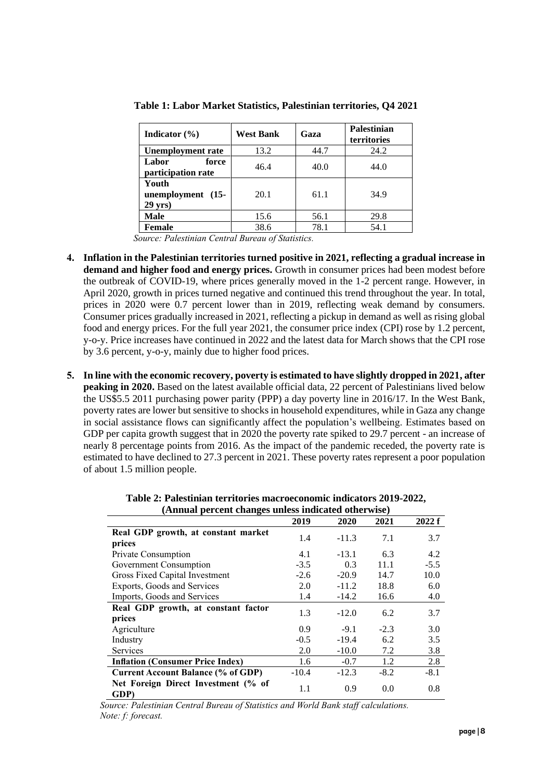| Indicator $(\% )$                     | <b>West Bank</b> | Gaza | <b>Palestinian</b><br>territories |
|---------------------------------------|------------------|------|-----------------------------------|
| <b>Unemployment rate</b>              | 13.2             | 44.7 | 24.2                              |
| Labor<br>force<br>participation rate  | 46.4             | 40.0 | 44.0                              |
| Youth<br>unemployment (15-<br>29 yrs) | 20.1             | 61.1 | 34.9                              |
| Male                                  | 15.6             | 56.1 | 29.8                              |
| Female                                | 38.6             | 78.1 | 54.1                              |

<span id="page-8-0"></span>**Table 1: Labor Market Statistics, Palestinian territories, Q4 2021**

*Source: Palestinian Central Bureau of Statistics.*

- **4. Inflation in the Palestinian territories turned positive in 2021, reflecting a gradual increase in demand and higher food and energy prices.** Growth in consumer prices had been modest before the outbreak of COVID-19, where prices generally moved in the 1-2 percent range. However, in April 2020, growth in prices turned negative and continued this trend throughout the year. In total, prices in 2020 were 0.7 percent lower than in 2019, reflecting weak demand by consumers. Consumer prices gradually increased in 2021, reflecting a pickup in demand as well as rising global food and energy prices. For the full year 2021, the consumer price index (CPI) rose by 1.2 percent, y-o-y. Price increases have continued in 2022 and the latest data for March shows that the CPI rose by 3.6 percent, y-o-y, mainly due to higher food prices.
- **5. In line with the economic recovery, poverty is estimated to have slightly dropped in 2021, after peaking in 2020.** Based on the latest available official data, 22 percent of Palestinians lived below the US\$5.5 2011 purchasing power parity (PPP) a day poverty line in 2016/17. In the West Bank, poverty rates are lower but sensitive to shocks in household expenditures, while in Gaza any change in social assistance flows can significantly affect the population's wellbeing. Estimates based on GDP per capita growth suggest that in 2020 the poverty rate spiked to 29.7 percent - an increase of nearly 8 percentage points from 2016. As the impact of the pandemic receded, the poverty rate is estimated to have declined to 27.3 percent in 2021. These poverty rates represent a poor population of about 1.5 million people.

<span id="page-8-1"></span>

| Annual percent changes unless indicated otherwise) |         |         |        |        |
|----------------------------------------------------|---------|---------|--------|--------|
|                                                    | 2019    | 2020    | 2021   | 2022 f |
| Real GDP growth, at constant market<br>prices      | 1.4     | $-11.3$ | 7.1    | 3.7    |
| Private Consumption                                | 4.1     | $-13.1$ | 6.3    | 4.2    |
| Government Consumption                             | $-3.5$  | 0.3     | 11.1   | $-5.5$ |
| Gross Fixed Capital Investment                     | $-2.6$  | $-20.9$ | 14.7   | 10.0   |
| Exports, Goods and Services                        | 2.0     | $-11.2$ | 18.8   | 6.0    |
| Imports, Goods and Services                        | 1.4     | $-14.2$ | 16.6   | 4.0    |
| Real GDP growth, at constant factor<br>prices      | 1.3     | $-12.0$ | 6.2    | 3.7    |
| Agriculture                                        | 0.9     | $-9.1$  | $-2.3$ | 3.0    |
| Industry                                           | $-0.5$  | $-19.4$ | 6.2    | 3.5    |
| Services                                           | 2.0     | $-10.0$ | 7.2    | 3.8    |
| <b>Inflation (Consumer Price Index)</b>            | 1.6     | $-0.7$  | 1.2    | 2.8    |
| <b>Current Account Balance (% of GDP)</b>          | $-10.4$ | $-12.3$ | $-8.2$ | $-8.1$ |
| Net Foreign Direct Investment (% of<br>GDP)        | 1.1     | 0.9     | 0.0    | 0.8    |

**Table 2: Palestinian territories macroeconomic indicators 2019-2022, (Annual percent changes unless indicated otherwise)**

*Source: Palestinian Central Bureau of Statistics and World Bank staff calculations. Note: f: forecast.*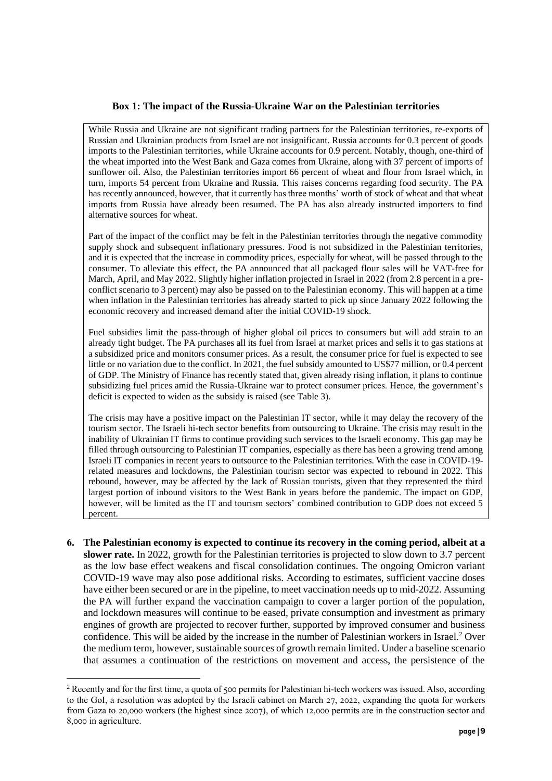#### **Box 1: The impact of the Russia-Ukraine War on the Palestinian territories**

<span id="page-9-0"></span>While Russia and Ukraine are not significant trading partners for the Palestinian territories, re-exports of Russian and Ukrainian products from Israel are not insignificant. Russia accounts for 0.3 percent of goods imports to the Palestinian territories, while Ukraine accounts for 0.9 percent. Notably, though, one-third of the wheat imported into the West Bank and Gaza comes from Ukraine, along with 37 percent of imports of sunflower oil. Also, the Palestinian territories import 66 percent of wheat and flour from Israel which, in turn, imports 54 percent from Ukraine and Russia. This raises concerns regarding food security. The PA has recently announced, however, that it currently has three months' worth of stock of wheat and that wheat imports from Russia have already been resumed. The PA has also already instructed importers to find alternative sources for wheat.

Part of the impact of the conflict may be felt in the Palestinian territories through the negative commodity supply shock and subsequent inflationary pressures. Food is not subsidized in the Palestinian territories, and it is expected that the increase in commodity prices, especially for wheat, will be passed through to the consumer. To alleviate this effect, the PA announced that all packaged flour sales will be VAT-free for March, April, and May 2022. Slightly higher inflation projected in Israel in 2022 (from 2.8 percent in a preconflict scenario to 3 percent) may also be passed on to the Palestinian economy. This will happen at a time when inflation in the Palestinian territories has already started to pick up since January 2022 following the economic recovery and increased demand after the initial COVID-19 shock.

Fuel subsidies limit the pass-through of higher global oil prices to consumers but will add strain to an already tight budget. The PA purchases all its fuel from Israel at market prices and sells it to gas stations at a subsidized price and monitors consumer prices. As a result, the consumer price for fuel is expected to see little or no variation due to the conflict. In 2021, the fuel subsidy amounted to US\$77 million, or 0.4 percent of GDP. The Ministry of Finance has recently stated that, given already rising inflation, it plans to continue subsidizing fuel prices amid the Russia-Ukraine war to protect consumer prices. Hence, the government's deficit is expected to widen as the subsidy is raised (see Table 3).

The crisis may have a positive impact on the Palestinian IT sector, while it may delay the recovery of the tourism sector. The Israeli hi-tech sector benefits from outsourcing to Ukraine. The crisis may result in the inability of Ukrainian IT firms to continue providing such services to the Israeli economy. This gap may be filled through outsourcing to Palestinian IT companies, especially as there has been a growing trend among Israeli IT companies in recent years to outsource to the Palestinian territories. With the ease in COVID-19 related measures and lockdowns, the Palestinian tourism sector was expected to rebound in 2022. This rebound, however, may be affected by the lack of Russian tourists, given that they represented the third largest portion of inbound visitors to the West Bank in years before the pandemic. The impact on GDP, however, will be limited as the IT and tourism sectors' combined contribution to GDP does not exceed 5 percent.

**6. The Palestinian economy is expected to continue its recovery in the coming period, albeit at a slower rate.** In 2022, growth for the Palestinian territories is projected to slow down to 3.7 percent as the low base effect weakens and fiscal consolidation continues. The ongoing Omicron variant COVID-19 wave may also pose additional risks. According to estimates, sufficient vaccine doses have either been secured or are in the pipeline, to meet vaccination needs up to mid-2022. Assuming the PA will further expand the vaccination campaign to cover a larger portion of the population, and lockdown measures will continue to be eased, private consumption and investment as primary engines of growth are projected to recover further, supported by improved consumer and business confidence. This will be aided by the increase in the number of Palestinian workers in Israel.<sup>2</sup> Over the medium term, however, sustainable sources of growth remain limited. Under a baseline scenario that assumes a continuation of the restrictions on movement and access, the persistence of the

<sup>&</sup>lt;sup>2</sup> Recently and for the first time, a quota of 500 permits for Palestinian hi-tech workers was issued. Also, according to the GoI, a resolution was adopted by the Israeli cabinet on March 27, 2022, expanding the quota for workers from Gaza to 20,000 workers (the highest since 2007), of which 12,000 permits are in the construction sector and 8,000 in agriculture.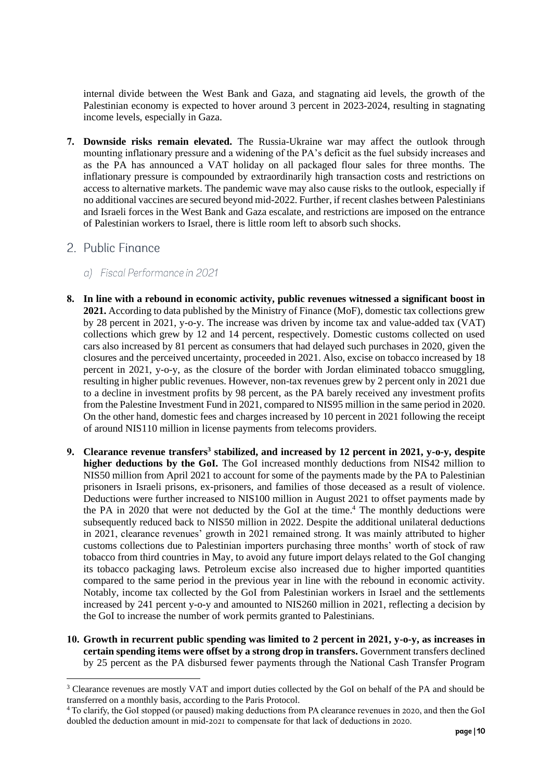internal divide between the West Bank and Gaza, and stagnating aid levels, the growth of the Palestinian economy is expected to hover around 3 percent in 2023-2024, resulting in stagnating income levels, especially in Gaza.

**7. Downside risks remain elevated.** The Russia-Ukraine war may affect the outlook through mounting inflationary pressure and a widening of the PA's deficit as the fuel subsidy increases and as the PA has announced a VAT holiday on all packaged flour sales for three months. The inflationary pressure is compounded by extraordinarily high transaction costs and restrictions on access to alternative markets. The pandemic wave may also cause risks to the outlook, especially if no additional vaccines are secured beyond mid-2022. Further, if recent clashes between Palestinians and Israeli forces in the West Bank and Gaza escalate, and restrictions are imposed on the entrance of Palestinian workers to Israel, there is little room left to absorb such shocks.

## <span id="page-10-0"></span>2. Public Finance

- <span id="page-10-1"></span>a) Fiscal Performance in 2021
- **8. In line with a rebound in economic activity, public revenues witnessed a significant boost in 2021.** According to data published by the Ministry of Finance (MoF), domestic tax collections grew by 28 percent in 2021, y-o-y. The increase was driven by income tax and value-added tax (VAT) collections which grew by 12 and 14 percent, respectively. Domestic customs collected on used cars also increased by 81 percent as consumers that had delayed such purchases in 2020, given the closures and the perceived uncertainty, proceeded in 2021. Also, excise on tobacco increased by 18 percent in 2021, y-o-y, as the closure of the border with Jordan eliminated tobacco smuggling, resulting in higher public revenues. However, non-tax revenues grew by 2 percent only in 2021 due to a decline in investment profits by 98 percent, as the PA barely received any investment profits from the Palestine Investment Fund in 2021, compared to NIS95 million in the same period in 2020. On the other hand, domestic fees and charges increased by 10 percent in 2021 following the receipt of around NIS110 million in license payments from telecoms providers.
- **9. Clearance revenue transfers<sup>3</sup> stabilized, and increased by 12 percent in 2021, y-o-y, despite higher deductions by the GoI.** The GoI increased monthly deductions from NIS42 million to NIS50 million from April 2021 to account for some of the payments made by the PA to Palestinian prisoners in Israeli prisons, ex-prisoners, and families of those deceased as a result of violence. Deductions were further increased to NIS100 million in August 2021 to offset payments made by the PA in 2020 that were not deducted by the GoI at the time.<sup>4</sup> The monthly deductions were subsequently reduced back to NIS50 million in 2022. Despite the additional unilateral deductions in 2021, clearance revenues' growth in 2021 remained strong. It was mainly attributed to higher customs collections due to Palestinian importers purchasing three months' worth of stock of raw tobacco from third countries in May, to avoid any future import delays related to the GoI changing its tobacco packaging laws. Petroleum excise also increased due to higher imported quantities compared to the same period in the previous year in line with the rebound in economic activity. Notably, income tax collected by the GoI from Palestinian workers in Israel and the settlements increased by 241 percent y-o-y and amounted to NIS260 million in 2021, reflecting a decision by the GoI to increase the number of work permits granted to Palestinians.
- **10. Growth in recurrent public spending was limited to 2 percent in 2021, y-o-y, as increases in certain spending items were offset by a strong drop in transfers.** Government transfers declined by 25 percent as the PA disbursed fewer payments through the National Cash Transfer Program

<sup>&</sup>lt;sup>3</sup> Clearance revenues are mostly VAT and import duties collected by the GoI on behalf of the PA and should be transferred on a monthly basis, according to the Paris Protocol.

<sup>&</sup>lt;sup>4</sup> To clarify, the GoI stopped (or paused) making deductions from PA clearance revenues in 2020, and then the GoI doubled the deduction amount in mid-2021 to compensate for that lack of deductions in 2020.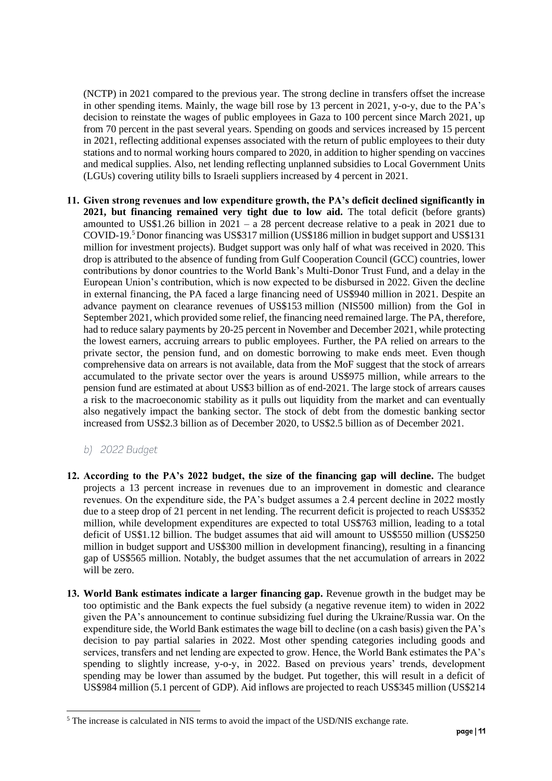(NCTP) in 2021 compared to the previous year. The strong decline in transfers offset the increase in other spending items. Mainly, the wage bill rose by 13 percent in 2021, y-o-y, due to the PA's decision to reinstate the wages of public employees in Gaza to 100 percent since March 2021, up from 70 percent in the past several years. Spending on goods and services increased by 15 percent in 2021, reflecting additional expenses associated with the return of public employees to their duty stations and to normal working hours compared to 2020, in addition to higher spending on vaccines and medical supplies. Also, net lending reflecting unplanned subsidies to Local Government Units (LGUs) covering utility bills to Israeli suppliers increased by 4 percent in 2021.

- **11. Given strong revenues and low expenditure growth, the PA's deficit declined significantly in 2021, but financing remained very tight due to low aid.** The total deficit (before grants) amounted to US\$1.26 billion in 2021 – a 28 percent decrease relative to a peak in 2021 due to COVID-19. <sup>5</sup>Donor financing was US\$317 million (US\$186 million in budget support and US\$131 million for investment projects). Budget support was only half of what was received in 2020. This drop is attributed to the absence of funding from Gulf Cooperation Council (GCC) countries, lower contributions by donor countries to the World Bank's Multi-Donor Trust Fund, and a delay in the European Union's contribution, which is now expected to be disbursed in 2022. Given the decline in external financing, the PA faced a large financing need of US\$940 million in 2021. Despite an advance payment on clearance revenues of US\$153 million (NIS500 million) from the GoI in September 2021, which provided some relief, the financing need remained large. The PA, therefore, had to reduce salary payments by 20-25 percent in November and December 2021, while protecting the lowest earners, accruing arrears to public employees. Further, the PA relied on arrears to the private sector, the pension fund, and on domestic borrowing to make ends meet. Even though comprehensive data on arrears is not available, data from the MoF suggest that the stock of arrears accumulated to the private sector over the years is around US\$975 million, while arrears to the pension fund are estimated at about US\$3 billion as of end-2021. The large stock of arrears causes a risk to the macroeconomic stability as it pulls out liquidity from the market and can eventually also negatively impact the banking sector. The stock of debt from the domestic banking sector increased from US\$2.3 billion as of December 2020, to US\$2.5 billion as of December 2021.
	- b) 2022 Budget
- <span id="page-11-1"></span><span id="page-11-0"></span>**12. According to the PA's 2022 budget, the size of the financing gap will decline.** The budget projects a 13 percent increase in revenues due to an improvement in domestic and clearance revenues. On the expenditure side, the PA's budget assumes a 2.4 percent decline in 2022 mostly due to a steep drop of 21 percent in net lending. The recurrent deficit is projected to reach US\$352 million, while development expenditures are expected to total US\$763 million, leading to a total deficit of US\$1.12 billion. The budget assumes that aid will amount to US\$550 million (US\$250 million in budget support and US\$300 million in development financing), resulting in a financing gap of US\$565 million. Notably, the budget assumes that the net accumulation of arrears in 2022 will be zero.
- **13. World Bank estimates indicate a larger financing gap.** Revenue growth in the budget may be too optimistic and the Bank expects the fuel subsidy (a negative revenue item) to widen in 2022 given the PA's announcement to continue subsidizing fuel during the Ukraine/Russia war. On the expenditure side, the World Bank estimates the wage bill to decline (on a cash basis) given the PA's decision to pay partial salaries in 2022. Most other spending categories including goods and services, transfers and net lending are expected to grow. Hence, the World Bank estimates the PA's spending to slightly increase, y-o-y, in 2022. Based on previous years' trends, development spending may be lower than assumed by the budget. Put together, this will result in a deficit of US\$984 million (5.1 percent of GDP). Aid inflows are projected to reach US\$345 million (US\$214

<sup>&</sup>lt;sup>5</sup> The increase is calculated in NIS terms to avoid the impact of the USD/NIS exchange rate.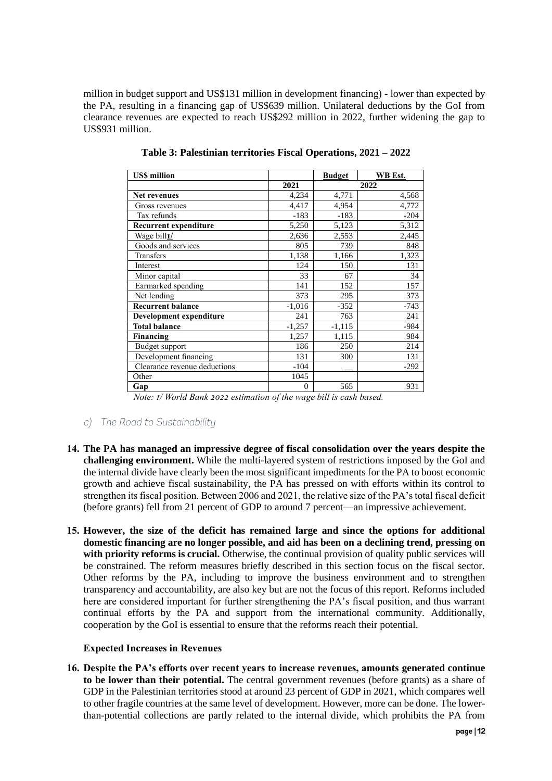million in budget support and US\$131 million in development financing) - lower than expected by the PA, resulting in a financing gap of US\$639 million. Unilateral deductions by the GoI from clearance revenues are expected to reach US\$292 million in 2022, further widening the gap to US\$931 million.

| <b>USS million</b>           |          | <b>Budget</b> | <b>WB</b> Est. |
|------------------------------|----------|---------------|----------------|
|                              | 2021     | 2022          |                |
| Net revenues                 | 4,234    | 4,771         | 4,568          |
| Gross revenues               | 4,417    | 4,954         | 4,772          |
| Tax refunds                  | $-183$   | $-183$        | $-204$         |
| <b>Recurrent expenditure</b> | 5,250    | 5,123         | 5,312          |
| Wage bill <sub>I/</sub>      | 2,636    | 2,553         | 2,445          |
| Goods and services           | 805      | 739           | 848            |
| Transfers                    | 1,138    | 1,166         | 1,323          |
| Interest                     | 124      | 150           | 131            |
| Minor capital                | 33       | 67            | 34             |
| Earmarked spending           | 141      | 152           | 157            |
| Net lending                  | 373      | 295           | 373            |
| <b>Recurrent balance</b>     | $-1,016$ | $-352$        | $-743$         |
| Development expenditure      | 241      | 763           | 241            |
| <b>Total balance</b>         | $-1,257$ | $-1,115$      | $-984$         |
| Financing                    | 1,257    | 1,115         | 984            |
| Budget support               | 186      | 250           | 214            |
| Development financing        | 131      | 300           | 131            |
| Clearance revenue deductions | $-104$   |               | $-292$         |
| Other                        | 1045     |               |                |
| Gap                          | $\theta$ | 565           | 931            |

**Table 3: Palestinian territories Fiscal Operations, 2021 – 2022**

*Note: 1/ World Bank 2022 estimation of the wage bill is cash based.* 

- <span id="page-12-0"></span>c) The Road to Sustainability
- **14. The PA has managed an impressive degree of fiscal consolidation over the years despite the challenging environment.** While the multi-layered system of restrictions imposed by the GoI and the internal divide have clearly been the most significant impediments for the PA to boost economic growth and achieve fiscal sustainability, the PA has pressed on with efforts within its control to strengthen its fiscal position. Between 2006 and 2021, the relative size of the PA's total fiscal deficit (before grants) fell from 21 percent of GDP to around 7 percent—an impressive achievement.
- **15. However, the size of the deficit has remained large and since the options for additional domestic financing are no longer possible, and aid has been on a declining trend, pressing on with priority reforms is crucial.** Otherwise, the continual provision of quality public services will be constrained. The reform measures briefly described in this section focus on the fiscal sector. Other reforms by the PA, including to improve the business environment and to strengthen transparency and accountability, are also key but are not the focus of this report. Reforms included here are considered important for further strengthening the PA's fiscal position, and thus warrant continual efforts by the PA and support from the international community. Additionally, cooperation by the GoI is essential to ensure that the reforms reach their potential.

#### **Expected Increases in Revenues**

**16. Despite the PA's efforts over recent years to increase revenues, amounts generated continue to be lower than their potential.** The central government revenues (before grants) as a share of GDP in the Palestinian territories stood at around 23 percent of GDP in 2021, which compares well to other fragile countries at the same level of development. However, more can be done. The lowerthan-potential collections are partly related to the internal divide, which prohibits the PA from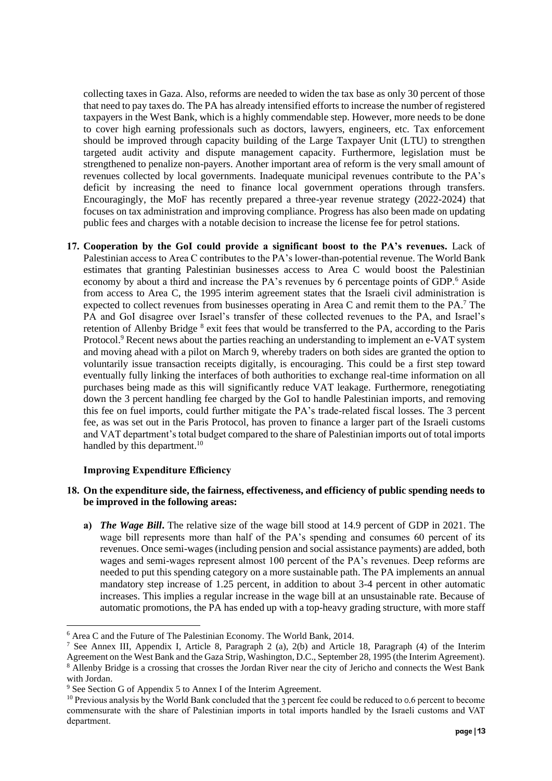collecting taxes in Gaza. Also, reforms are needed to widen the tax base as only 30 percent of those that need to pay taxes do. The PA has already intensified efforts to increase the number of registered taxpayers in the West Bank, which is a highly commendable step. However, more needs to be done to cover high earning professionals such as doctors, lawyers, engineers, etc. Tax enforcement should be improved through capacity building of the Large Taxpayer Unit (LTU) to strengthen targeted audit activity and dispute management capacity. Furthermore, legislation must be strengthened to penalize non-payers. Another important area of reform is the very small amount of revenues collected by local governments. Inadequate municipal revenues contribute to the PA's deficit by increasing the need to finance local government operations through transfers. Encouragingly, the MoF has recently prepared a three-year revenue strategy (2022-2024) that focuses on tax administration and improving compliance. Progress has also been made on updating public fees and charges with a notable decision to increase the license fee for petrol stations.

**17. Cooperation by the GoI could provide a significant boost to the PA's revenues.** Lack of Palestinian access to Area C contributes to the PA's lower-than-potential revenue. The World Bank estimates that granting Palestinian businesses access to Area C would boost the Palestinian economy by about a third and increase the PA's revenues by 6 percentage points of GDP.<sup>6</sup> Aside from access to Area C, the 1995 interim agreement states that the Israeli civil administration is expected to collect revenues from businesses operating in Area C and remit them to the PA.<sup>7</sup> The PA and GoI disagree over Israel's transfer of these collected revenues to the PA, and Israel's retention of Allenby Bridge <sup>8</sup> exit fees that would be transferred to the PA, according to the Paris Protocol.<sup>9</sup> Recent news about the parties reaching an understanding to implement an e-VAT system and moving ahead with a pilot on March 9, whereby traders on both sides are granted the option to voluntarily issue transaction receipts digitally, is encouraging. This could be a first step toward eventually fully linking the interfaces of both authorities to exchange real-time information on all purchases being made as this will significantly reduce VAT leakage. Furthermore, renegotiating down the 3 percent handling fee charged by the GoI to handle Palestinian imports, and removing this fee on fuel imports, could further mitigate the PA's trade-related fiscal losses. The 3 percent fee, as was set out in the Paris Protocol, has proven to finance a larger part of the Israeli customs and VAT department's total budget compared to the share of Palestinian imports out of total imports handled by this department.<sup>10</sup>

#### **Improving Expenditure Efficiency**

#### **18. On the expenditure side, the fairness, effectiveness, and efficiency of public spending needs to be improved in the following areas:**

**a)** *The Wage Bill***.** The relative size of the wage bill stood at 14.9 percent of GDP in 2021. The wage bill represents more than half of the PA's spending and consumes 60 percent of its revenues. Once semi-wages (including pension and social assistance payments) are added, both wages and semi-wages represent almost 100 percent of the PA's revenues. Deep reforms are needed to put this spending category on a more sustainable path. The PA implements an annual mandatory step increase of 1.25 percent, in addition to about 3-4 percent in other automatic increases. This implies a regular increase in the wage bill at an unsustainable rate. Because of automatic promotions, the PA has ended up with a top-heavy grading structure, with more staff

<sup>6</sup> Area C and the Future of The Palestinian Economy. The World Bank, 2014.

<sup>7</sup> See Annex III, Appendix I, Article 8, Paragraph 2 (a), 2(b) and Article 18, Paragraph (4) of the Interim Agreement on the West Bank and the Gaza Strip, Washington, D.C., September 28, 1995 (the Interim Agreement). <sup>8</sup> Allenby Bridge is a crossing that crosses the Jordan River near the city of Jericho and connects the West Bank with Jordan.

<sup>9</sup> See Section G of Appendix 5 to Annex I of the Interim Agreement.

<sup>&</sup>lt;sup>10</sup> Previous analysis by the World Bank concluded that the 3 percent fee could be reduced to 0.6 percent to become commensurate with the share of Palestinian imports in total imports handled by the Israeli customs and VAT department.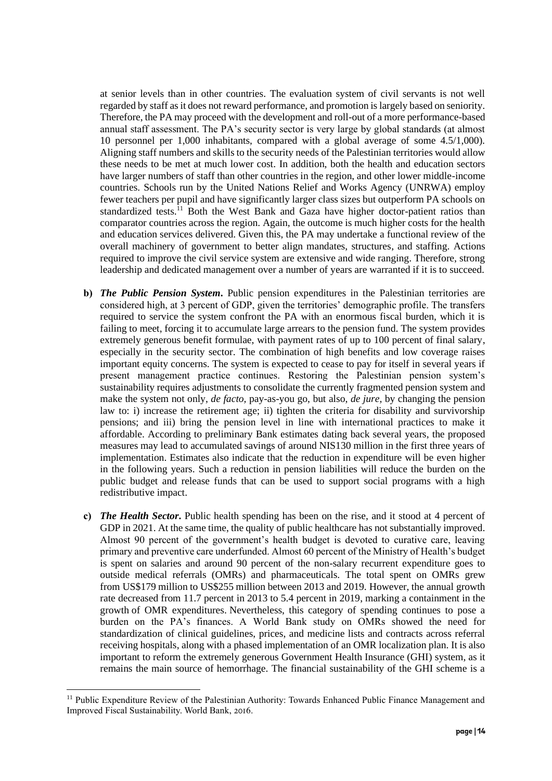at senior levels than in other countries. The evaluation system of civil servants is not well regarded by staff as it does not reward performance, and promotion is largely based on seniority. Therefore, the PA may proceed with the development and roll-out of a more performance-based annual staff assessment. The PA's security sector is very large by global standards (at almost 10 personnel per 1,000 inhabitants, compared with a global average of some 4.5/1,000). Aligning staff numbers and skills to the security needs of the Palestinian territories would allow these needs to be met at much lower cost. In addition, both the health and education sectors have larger numbers of staff than other countries in the region, and other lower middle-income countries. Schools run by the United Nations Relief and Works Agency (UNRWA) employ fewer teachers per pupil and have significantly larger class sizes but outperform PA schools on standardized tests.<sup>11</sup> Both the West Bank and Gaza have higher doctor-patient ratios than comparator countries across the region. Again, the outcome is much higher costs for the health and education services delivered. Given this, the PA may undertake a functional review of the overall machinery of government to better align mandates, structures, and staffing. Actions required to improve the civil service system are extensive and wide ranging. Therefore, strong leadership and dedicated management over a number of years are warranted if it is to succeed.

- **b)** *The Public Pension System***.** Public pension expenditures in the Palestinian territories are considered high, at 3 percent of GDP, given the territories' demographic profile. The transfers required to service the system confront the PA with an enormous fiscal burden, which it is failing to meet, forcing it to accumulate large arrears to the pension fund. The system provides extremely generous benefit formulae, with payment rates of up to 100 percent of final salary, especially in the security sector. The combination of high benefits and low coverage raises important equity concerns. The system is expected to cease to pay for itself in several years if present management practice continues. Restoring the Palestinian pension system's sustainability requires adjustments to consolidate the currently fragmented pension system and make the system not only, *de facto,* pay-as-you go, but also, *de jure,* by changing the pension law to: i) increase the retirement age; ii) tighten the criteria for disability and survivorship pensions; and iii) bring the pension level in line with international practices to make it affordable. According to preliminary Bank estimates dating back several years, the proposed measures may lead to accumulated savings of around NIS130 million in the first three years of implementation. Estimates also indicate that the reduction in expenditure will be even higher in the following years. Such a reduction in pension liabilities will reduce the burden on the public budget and release funds that can be used to support social programs with a high redistributive impact.
- **c)** *The Health Sector***.** Public health spending has been on the rise, and it stood at 4 percent of GDP in 2021. At the same time, the quality of public healthcare has not substantially improved. Almost 90 percent of the government's health budget is devoted to curative care, leaving primary and preventive care underfunded. Almost 60 percent of the Ministry of Health's budget is spent on salaries and around 90 percent of the non-salary recurrent expenditure goes to outside medical referrals (OMRs) and pharmaceuticals. The total spent on OMRs grew from US\$179 million to US\$255 million between 2013 and 2019. However, the annual growth rate decreased from 11.7 percent in 2013 to 5.4 percent in 2019, marking a containment in the growth of OMR expenditures. Nevertheless, this category of spending continues to pose a burden on the PA's finances. A World Bank study on OMRs showed the need for standardization of clinical guidelines, prices, and medicine lists and contracts across referral receiving hospitals, along with a phased implementation of an OMR localization plan. It is also important to reform the extremely generous Government Health Insurance (GHI) system, as it remains the main source of hemorrhage. The financial sustainability of the GHI scheme is a

<sup>&</sup>lt;sup>11</sup> Public Expenditure Review of the Palestinian Authority: Towards Enhanced Public Finance Management and Improved Fiscal Sustainability. World Bank, 2016.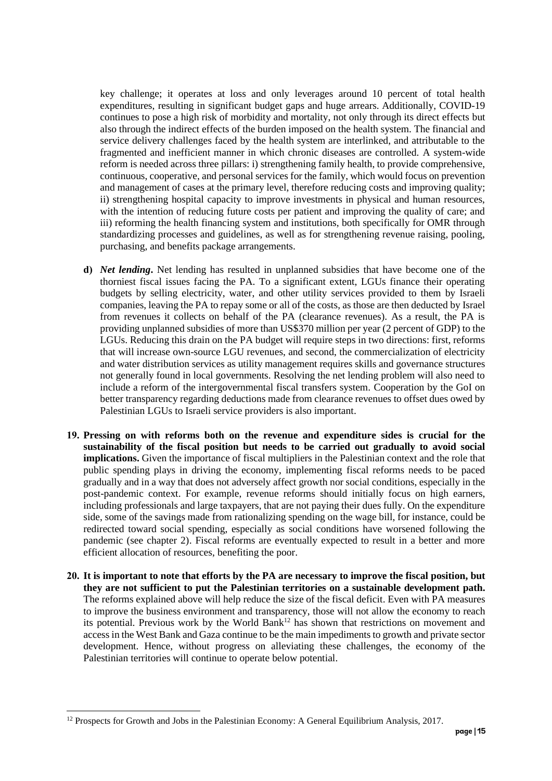key challenge; it operates at loss and only leverages around 10 percent of total health expenditures, resulting in significant budget gaps and huge arrears. Additionally, COVID-19 continues to pose a high risk of morbidity and mortality, not only through its direct effects but also through the indirect effects of the burden imposed on the health system. The financial and service delivery challenges faced by the health system are interlinked, and attributable to the fragmented and inefficient manner in which chronic diseases are controlled. A system-wide reform is needed across three pillars: i) strengthening family health, to provide comprehensive, continuous, cooperative, and personal services for the family, which would focus on prevention and management of cases at the primary level, therefore reducing costs and improving quality; ii) strengthening hospital capacity to improve investments in physical and human resources, with the intention of reducing future costs per patient and improving the quality of care; and iii) reforming the health financing system and institutions, both specifically for OMR through standardizing processes and guidelines, as well as for strengthening revenue raising, pooling, purchasing, and benefits package arrangements.

- **d)** *Net lending***.** Net lending has resulted in unplanned subsidies that have become one of the thorniest fiscal issues facing the PA. To a significant extent, LGUs finance their operating budgets by selling electricity, water, and other utility services provided to them by Israeli companies, leaving the PA to repay some or all of the costs, as those are then deducted by Israel from revenues it collects on behalf of the PA (clearance revenues). As a result, the PA is providing unplanned subsidies of more than US\$370 million per year (2 percent of GDP) to the LGUs. Reducing this drain on the PA budget will require steps in two directions: first, reforms that will increase own-source LGU revenues, and second, the commercialization of electricity and water distribution services as utility management requires skills and governance structures not generally found in local governments. Resolving the net lending problem will also need to include a reform of the intergovernmental fiscal transfers system. Cooperation by the GoI on better transparency regarding deductions made from clearance revenues to offset dues owed by Palestinian LGUs to Israeli service providers is also important.
- **19. Pressing on with reforms both on the revenue and expenditure sides is crucial for the sustainability of the fiscal position but needs to be carried out gradually to avoid social implications.** Given the importance of fiscal multipliers in the Palestinian context and the role that public spending plays in driving the economy, implementing fiscal reforms needs to be paced gradually and in a way that does not adversely affect growth nor social conditions, especially in the post-pandemic context. For example, revenue reforms should initially focus on high earners, including professionals and large taxpayers, that are not paying their dues fully. On the expenditure side, some of the savings made from rationalizing spending on the wage bill, for instance, could be redirected toward social spending, especially as social conditions have worsened following the pandemic (see chapter 2). Fiscal reforms are eventually expected to result in a better and more efficient allocation of resources, benefiting the poor.
- **20. It is important to note that efforts by the PA are necessary to improve the fiscal position, but they are not sufficient to put the Palestinian territories on a sustainable development path.** The reforms explained above will help reduce the size of the fiscal deficit. Even with PA measures to improve the business environment and transparency, those will not allow the economy to reach its potential. Previous work by the World Bank $^{12}$  has shown that restrictions on movement and access in the West Bank and Gaza continue to be the main impediments to growth and private sector development. Hence, without progress on alleviating these challenges, the economy of the Palestinian territories will continue to operate below potential.

 $12$  Prospects for Growth and Jobs in the Palestinian Economy: A General Equilibrium Analysis, 2017.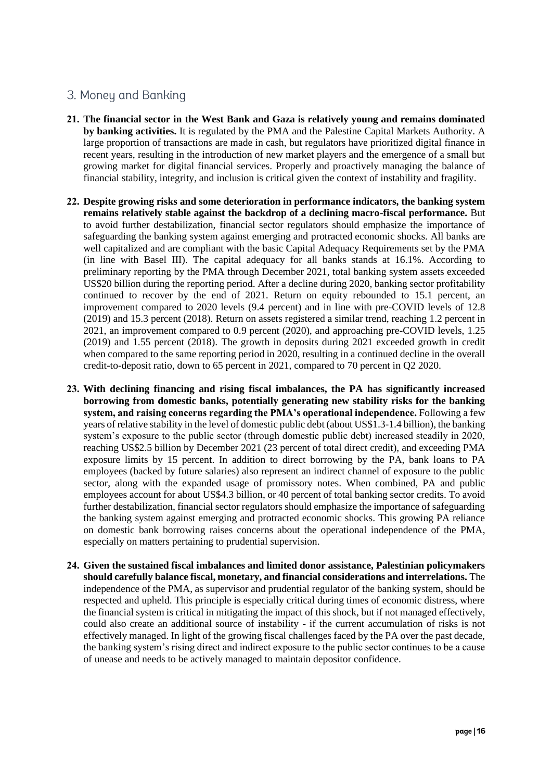## <span id="page-16-0"></span>3. Money and Banking

- **21. The financial sector in the West Bank and Gaza is relatively young and remains dominated by banking activities.** It is regulated by the PMA and the Palestine Capital Markets Authority. A large proportion of transactions are made in cash, but regulators have prioritized digital finance in recent years, resulting in the introduction of new market players and the emergence of a small but growing market for digital financial services. Properly and proactively managing the balance of financial stability, integrity, and inclusion is critical given the context of instability and fragility.
- **22. Despite growing risks and some deterioration in performance indicators, the banking system remains relatively stable against the backdrop of a declining macro-fiscal performance.** But to avoid further destabilization, financial sector regulators should emphasize the importance of safeguarding the banking system against emerging and protracted economic shocks. All banks are well capitalized and are compliant with the basic Capital Adequacy Requirements set by the PMA (in line with Basel III). The capital adequacy for all banks stands at 16.1%. According to preliminary reporting by the PMA through December 2021, total banking system assets exceeded US\$20 billion during the reporting period. After a decline during 2020, banking sector profitability continued to recover by the end of 2021. Return on equity rebounded to 15.1 percent, an improvement compared to 2020 levels (9.4 percent) and in line with pre-COVID levels of 12.8 (2019) and 15.3 percent (2018). Return on assets registered a similar trend, reaching 1.2 percent in 2021, an improvement compared to 0.9 percent (2020), and approaching pre-COVID levels, 1.25 (2019) and 1.55 percent (2018). The growth in deposits during 2021 exceeded growth in credit when compared to the same reporting period in 2020, resulting in a continued decline in the overall credit-to-deposit ratio, down to 65 percent in 2021, compared to 70 percent in Q2 2020.
- **23. With declining financing and rising fiscal imbalances, the PA has significantly increased borrowing from domestic banks, potentially generating new stability risks for the banking system, and raising concerns regarding the PMA's operational independence.** Following a few years of relative stability in the level of domestic public debt (about US\$1.3-1.4 billion), the banking system's exposure to the public sector (through domestic public debt) increased steadily in 2020, reaching US\$2.5 billion by December 2021 (23 percent of total direct credit), and exceeding PMA exposure limits by 15 percent. In addition to direct borrowing by the PA, bank loans to PA employees (backed by future salaries) also represent an indirect channel of exposure to the public sector, along with the expanded usage of promissory notes. When combined, PA and public employees account for about US\$4.3 billion, or 40 percent of total banking sector credits. To avoid further destabilization, financial sector regulators should emphasize the importance of safeguarding the banking system against emerging and protracted economic shocks. This growing PA reliance on domestic bank borrowing raises concerns about the operational independence of the PMA, especially on matters pertaining to prudential supervision.
- **24. Given the sustained fiscal imbalances and limited donor assistance, Palestinian policymakers should carefully balance fiscal, monetary, and financial considerations and interrelations.** The independence of the PMA, as supervisor and prudential regulator of the banking system, should be respected and upheld. This principle is especially critical during times of economic distress, where the financial system is critical in mitigating the impact of this shock, but if not managed effectively, could also create an additional source of instability - if the current accumulation of risks is not effectively managed. In light of the growing fiscal challenges faced by the PA over the past decade, the banking system's rising direct and indirect exposure to the public sector continues to be a cause of unease and needs to be actively managed to maintain depositor confidence.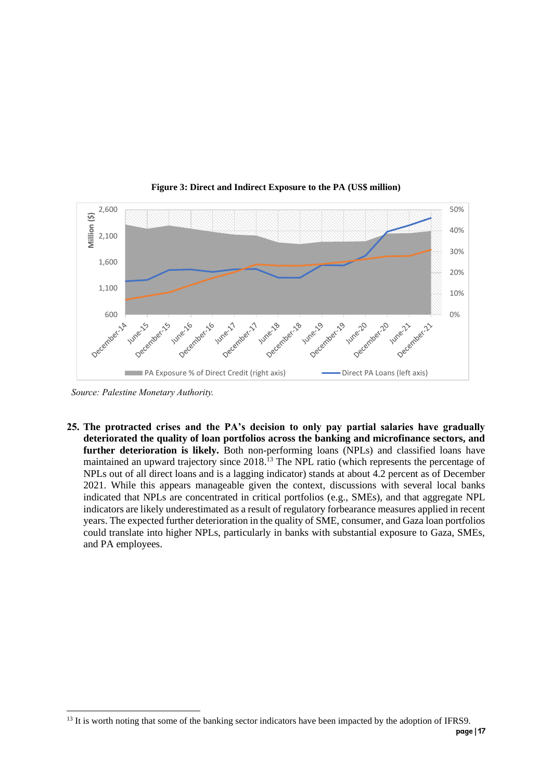<span id="page-17-0"></span>

**Figure 3: Direct and Indirect Exposure to the PA (US\$ million)**

*Source: Palestine Monetary Authority.*

**25. The protracted crises and the PA's decision to only pay partial salaries have gradually deteriorated the quality of loan portfolios across the banking and microfinance sectors, and further deterioration is likely.** Both non-performing loans (NPLs) and classified loans have maintained an upward trajectory since 2018.<sup>13</sup> The NPL ratio (which represents the percentage of NPLs out of all direct loans and is a lagging indicator) stands at about 4.2 percent as of December 2021. While this appears manageable given the context, discussions with several local banks indicated that NPLs are concentrated in critical portfolios (e.g., SMEs), and that aggregate NPL indicators are likely underestimated as a result of regulatory forbearance measures applied in recent years. The expected further deterioration in the quality of SME, consumer, and Gaza loan portfolios could translate into higher NPLs, particularly in banks with substantial exposure to Gaza, SMEs, and PA employees.

<sup>&</sup>lt;sup>13</sup> It is worth noting that some of the banking sector indicators have been impacted by the adoption of IFRS9.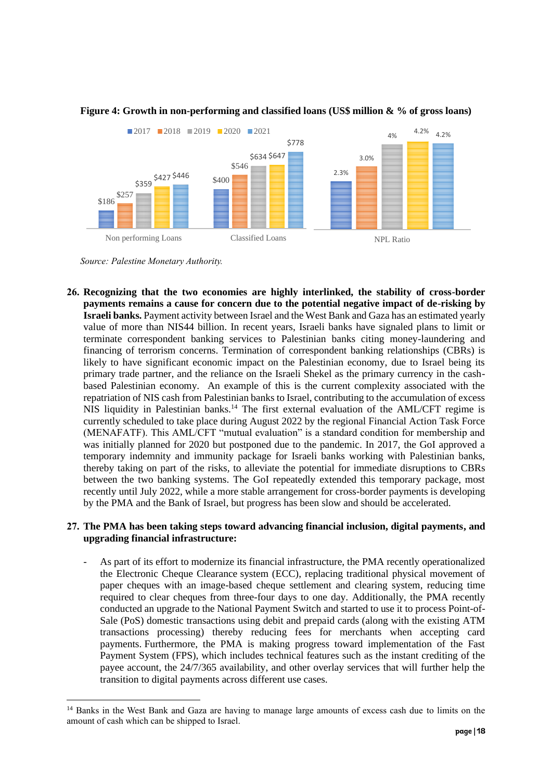

#### <span id="page-18-0"></span>**Figure 4: Growth in non-performing and classified loans (US\$ million & % of gross loans)**

*Source: Palestine Monetary Authority.*

**26. Recognizing that the two economies are highly interlinked, the stability of cross-border payments remains a cause for concern due to the potential negative impact of de-risking by Israeli banks.** Payment activity between Israel and the West Bank and Gaza has an estimated yearly value of more than NIS44 billion. In recent years, Israeli banks have signaled plans to limit or terminate correspondent banking services to Palestinian banks citing money-laundering and financing of terrorism concerns. Termination of correspondent banking relationships (CBRs) is likely to have significant economic impact on the Palestinian economy, due to Israel being its primary trade partner, and the reliance on the Israeli Shekel as the primary currency in the cashbased Palestinian economy. An example of this is the current complexity associated with the repatriation of NIS cash from Palestinian banks to Israel, contributing to the accumulation of excess NIS liquidity in Palestinian banks.<sup>14</sup> The first external evaluation of the AML/CFT regime is currently scheduled to take place during August 2022 by the regional Financial Action Task Force (MENAFATF). This AML/CFT "mutual evaluation" is a standard condition for membership and was initially planned for 2020 but postponed due to the pandemic. In 2017, the GoI approved a temporary indemnity and immunity package for Israeli banks working with Palestinian banks, thereby taking on part of the risks, to alleviate the potential for immediate disruptions to CBRs between the two banking systems. The GoI repeatedly extended this temporary package, most recently until July 2022, while a more stable arrangement for cross-border payments is developing by the PMA and the Bank of Israel, but progress has been slow and should be accelerated.

#### **27. The PMA has been taking steps toward advancing financial inclusion, digital payments, and upgrading financial infrastructure:**

As part of its effort to modernize its financial infrastructure, the PMA recently operationalized the Electronic Cheque Clearance system (ECC), replacing traditional physical movement of paper cheques with an image-based cheque settlement and clearing system, reducing time required to clear cheques from three-four days to one day. Additionally, the PMA recently conducted an upgrade to the National Payment Switch and started to use it to process Point-of-Sale (PoS) domestic transactions using debit and prepaid cards (along with the existing ATM transactions processing) thereby reducing fees for merchants when accepting card payments. Furthermore, the PMA is making progress toward implementation of the Fast Payment System (FPS), which includes technical features such as the instant crediting of the payee account, the 24/7/365 availability, and other overlay services that will further help the transition to digital payments across different use cases.

<sup>&</sup>lt;sup>14</sup> Banks in the West Bank and Gaza are having to manage large amounts of excess cash due to limits on the amount of cash which can be shipped to Israel.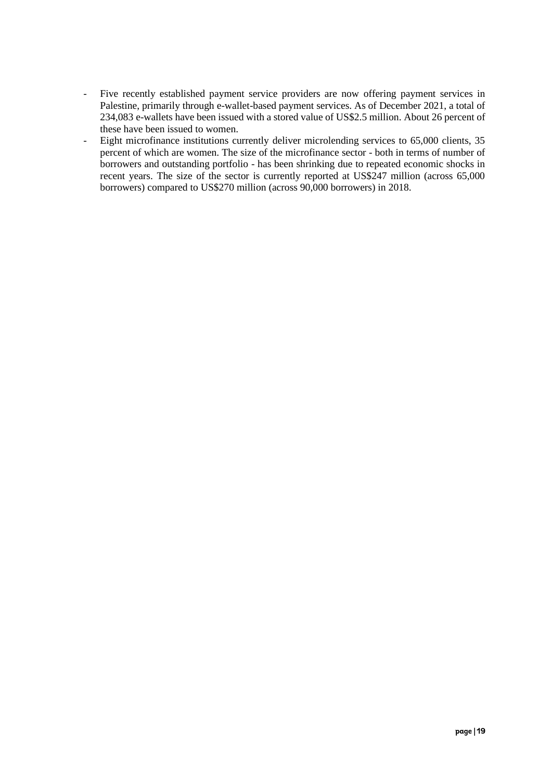- Five recently established payment service providers are now offering payment services in Palestine, primarily through e-wallet-based payment services. As of December 2021, a total of 234,083 e-wallets have been issued with a stored value of US\$2.5 million. About 26 percent of these have been issued to women.
- Eight microfinance institutions currently deliver microlending services to 65,000 clients, 35 percent of which are women. The size of the microfinance sector - both in terms of number of borrowers and outstanding portfolio - has been shrinking due to repeated economic shocks in recent years. The size of the sector is currently reported at US\$247 million (across 65,000 borrowers) compared to US\$270 million (across 90,000 borrowers) in 2018.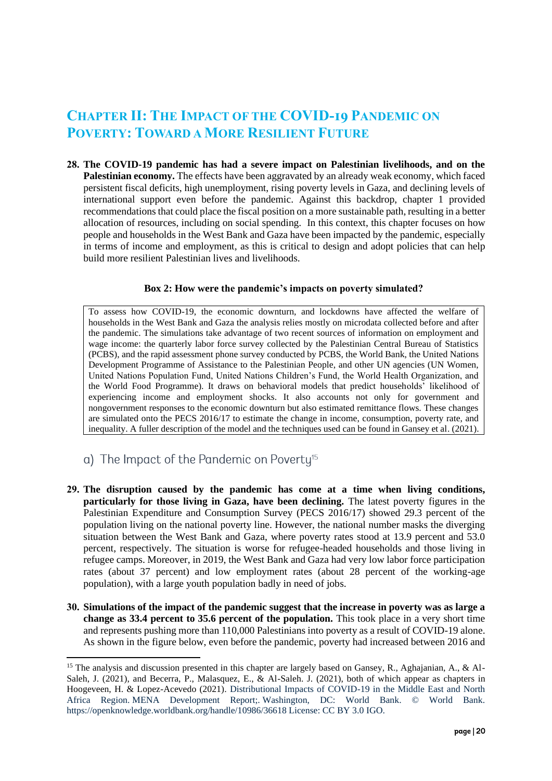# **CHAPTER II: THE IMPACT OF THE COVID-19 PANDEMIC ON POVERTY: TOWARD A MORE RESILIENT FUTURE**

**28. The COVID-19 pandemic has had a severe impact on Palestinian livelihoods, and on the Palestinian economy.** The effects have been aggravated by an already weak economy, which faced persistent fiscal deficits, high unemployment, rising poverty levels in Gaza, and declining levels of international support even before the pandemic. Against this backdrop, chapter 1 provided recommendations that could place the fiscal position on a more sustainable path, resulting in a better allocation of resources, including on social spending. In this context, this chapter focuses on how people and households in the West Bank and Gaza have been impacted by the pandemic, especially in terms of income and employment, as this is critical to design and adopt policies that can help build more resilient Palestinian lives and livelihoods.

#### **Box 2: How were the pandemic's impacts on poverty simulated?**

<span id="page-20-1"></span>To assess how COVID-19, the economic downturn, and lockdowns have affected the welfare of households in the West Bank and Gaza the analysis relies mostly on microdata collected before and after the pandemic. The simulations take advantage of two recent sources of information on employment and wage income: the quarterly labor force survey collected by the Palestinian Central Bureau of Statistics (PCBS), and the rapid assessment phone survey conducted by PCBS, the World Bank, the United Nations Development Programme of Assistance to the Palestinian People, and other UN agencies (UN Women, United Nations Population Fund, United Nations Children's Fund, the World Health Organization, and the World Food Programme). It draws on behavioral models that predict households' likelihood of experiencing income and employment shocks. It also accounts not only for government and nongovernment responses to the economic downturn but also estimated remittance flows. These changes are simulated onto the PECS 2016/17 to estimate the change in income, consumption, poverty rate, and inequality. A fuller description of the model and the techniques used can be found in Gansey et al. (2021).

- <span id="page-20-0"></span>a) The Impact of the Pandemic on Poverty<sup>15</sup>
- **29. The disruption caused by the pandemic has come at a time when living conditions, particularly for those living in Gaza, have been declining.** The latest poverty figures in the Palestinian Expenditure and Consumption Survey (PECS 2016/17) showed 29.3 percent of the population living on the national poverty line. However, the national number masks the diverging situation between the West Bank and Gaza, where poverty rates stood at 13.9 percent and 53.0 percent, respectively. The situation is worse for refugee-headed households and those living in refugee camps. Moreover, in 2019, the West Bank and Gaza had very low labor force participation rates (about 37 percent) and low employment rates (about 28 percent of the working-age population), with a large youth population badly in need of jobs.
- **30. Simulations of the impact of the pandemic suggest that the increase in poverty was as large a change as 33.4 percent to 35.6 percent of the population.** This took place in a very short time and represents pushing more than 110,000 Palestinians into poverty as a result of COVID-19 alone. As shown in the figure below, even before the pandemic, poverty had increased between 2016 and

<sup>&</sup>lt;sup>15</sup> The analysis and discussion presented in this chapter are largely based on Gansey, R., Aghajanian, A., & Al-Saleh, J. (2021), and Becerra, P., Malasquez, E., & Al-Saleh. J. (2021), both of which appear as chapters in Hoogeveen, H. & Lopez-Acevedo (2021). Distributional Impacts of COVID-19 in the Middle East and North Africa Region. MENA Development Report;. Washington, DC: World Bank. © World Bank. https://openknowledge.worldbank.org/handle/10986/36618 License: CC BY 3.0 IGO.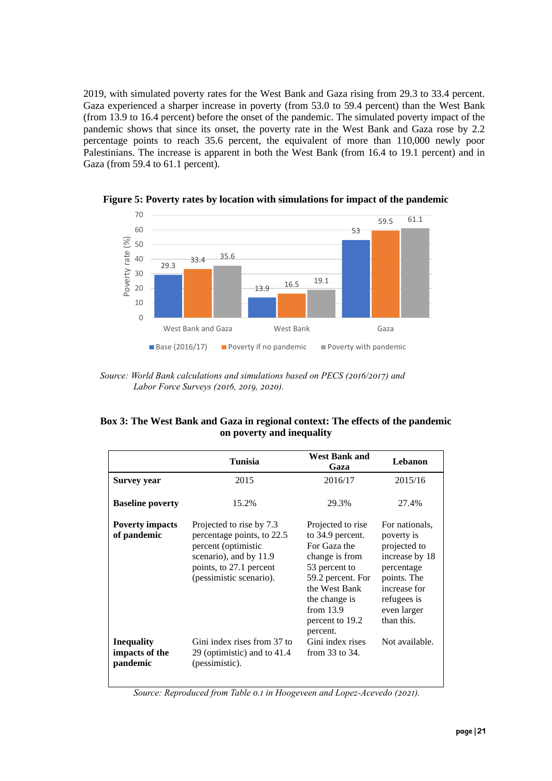2019, with simulated poverty rates for the West Bank and Gaza rising from 29.3 to 33.4 percent. Gaza experienced a sharper increase in poverty (from 53.0 to 59.4 percent) than the West Bank (from 13.9 to 16.4 percent) before the onset of the pandemic. The simulated poverty impact of the pandemic shows that since its onset, the poverty rate in the West Bank and Gaza rose by 2.2 percentage points to reach 35.6 percent, the equivalent of more than 110,000 newly poor Palestinians. The increase is apparent in both the West Bank (from 16.4 to 19.1 percent) and in Gaza (from 59.4 to 61.1 percent).



<span id="page-21-0"></span>**Figure 5: Poverty rates by location with simulations for impact of the pandemic**

#### <span id="page-21-1"></span>**Box 3: The West Bank and Gaza in regional context: The effects of the pandemic on poverty and inequality**

|                                                 | <b>Tunisia</b>                                                                                                                                                | <b>West Bank and</b><br>Gaza                                                                                                                                                                  | Lebanon                                                                                                                                                 |
|-------------------------------------------------|---------------------------------------------------------------------------------------------------------------------------------------------------------------|-----------------------------------------------------------------------------------------------------------------------------------------------------------------------------------------------|---------------------------------------------------------------------------------------------------------------------------------------------------------|
| Survey year                                     | 2015                                                                                                                                                          | 2016/17                                                                                                                                                                                       | 2015/16                                                                                                                                                 |
| <b>Baseline poverty</b>                         | 15.2%                                                                                                                                                         | 29.3%                                                                                                                                                                                         | 27.4%                                                                                                                                                   |
| <b>Poverty impacts</b><br>of pandemic           | Projected to rise by 7.3<br>percentage points, to 22.5<br>percent (optimistic<br>scenario), and by 11.9<br>points, to 27.1 percent<br>(pessimistic scenario). | Projected to rise<br>to 34.9 percent.<br>For Gaza the<br>change is from<br>53 percent to<br>59.2 percent. For<br>the West Bank<br>the change is<br>from $13.9$<br>percent to 19.2<br>percent. | For nationals.<br>poverty is<br>projected to<br>increase by 18<br>percentage<br>points. The<br>increase for<br>refugees is<br>even larger<br>than this. |
| <b>Inequality</b><br>impacts of the<br>pandemic | Gini index rises from 37 to<br>29 (optimistic) and to 41.4<br>(pessimistic).                                                                                  | Gini index rises<br>from $33$ to $34$ .                                                                                                                                                       | Not available.                                                                                                                                          |

*Source: Reproduced from Table 0.1 in Hoogeveen and Lopez-Acevedo (2021).*

*Source: World Bank calculations and simulations based on PECS (2016/2017) and Labor Force Surveys (2016, 2019, 2020).*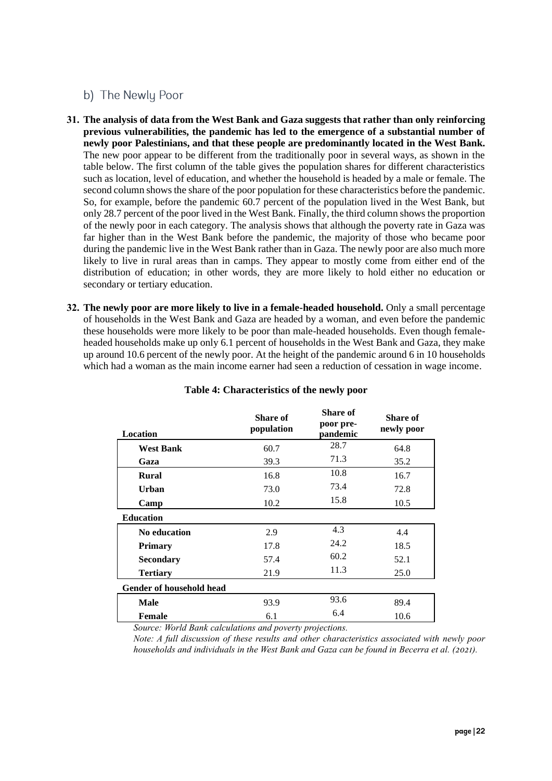## <span id="page-22-0"></span>b) The Newly Poor

- **31. The analysis of data from the West Bank and Gaza suggests that rather than only reinforcing previous vulnerabilities, the pandemic has led to the emergence of a substantial number of newly poor Palestinians, and that these people are predominantly located in the West Bank.** The new poor appear to be different from the traditionally poor in several ways, as shown in the table below. The first column of the table gives the population shares for different characteristics such as location, level of education, and whether the household is headed by a male or female. The second column shows the share of the poor population for these characteristics before the pandemic. So, for example, before the pandemic 60.7 percent of the population lived in the West Bank, but only 28.7 percent of the poor lived in the West Bank. Finally, the third column shows the proportion of the newly poor in each category. The analysis shows that although the poverty rate in Gaza was far higher than in the West Bank before the pandemic, the majority of those who became poor during the pandemic live in the West Bank rather than in Gaza. The newly poor are also much more likely to live in rural areas than in camps. They appear to mostly come from either end of the distribution of education; in other words, they are more likely to hold either no education or secondary or tertiary education.
- **32. The newly poor are more likely to live in a female-headed household.** Only a small percentage of households in the West Bank and Gaza are headed by a woman, and even before the pandemic these households were more likely to be poor than male-headed households. Even though femaleheaded households make up only 6.1 percent of households in the West Bank and Gaza, they make up around 10.6 percent of the newly poor. At the height of the pandemic around 6 in 10 households which had a woman as the main income earner had seen a reduction of cessation in wage income.

<span id="page-22-1"></span>

| Location                 | Share of<br>population | Share of<br>poor pre-<br>pandemic | Share of<br>newly poor |
|--------------------------|------------------------|-----------------------------------|------------------------|
| <b>West Bank</b>         | 60.7                   | 28.7                              | 64.8                   |
| Gaza                     | 39.3                   | 71.3                              | 35.2                   |
| <b>Rural</b>             | 16.8                   | 10.8                              | 16.7                   |
| Urban                    | 73.0                   | 73.4                              | 72.8                   |
| Camp                     | 10.2                   | 15.8                              | 10.5                   |
| <b>Education</b>         |                        |                                   |                        |
| <b>No education</b>      | 2.9                    | 4.3                               | 4.4                    |
| <b>Primary</b>           | 17.8                   | 24.2                              | 18.5                   |
| <b>Secondary</b>         | 57.4                   | 60.2                              | 52.1                   |
| <b>Tertiary</b>          | 21.9                   | 11.3                              | 25.0                   |
| Gender of household head |                        |                                   |                        |
| <b>Male</b>              | 93.9                   | 93.6                              | 89.4                   |
| <b>Female</b>            | 6.1                    | 6.4                               | 10.6                   |

#### **Table 4: Characteristics of the newly poor**

*Source: World Bank calculations and poverty projections.*

*Note: A full discussion of these results and other characteristics associated with newly poor households and individuals in the West Bank and Gaza can be found in Becerra et al. (2021).*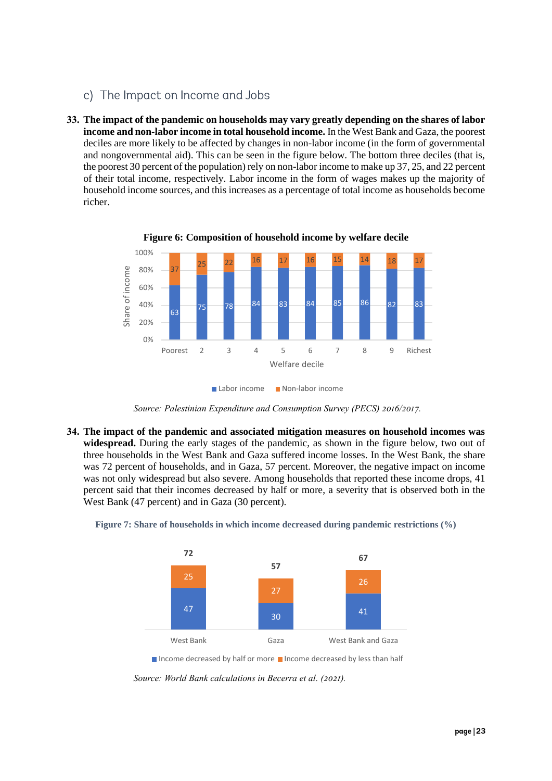- <span id="page-23-0"></span>c) The Impact on Income and Jobs
- **33. The impact of the pandemic on households may vary greatly depending on the shares of labor income and non-labor income in total household income.** In the West Bank and Gaza, the poorest deciles are more likely to be affected by changes in non-labor income (in the form of governmental and nongovernmental aid). This can be seen in the figure below. The bottom three deciles (that is, the poorest 30 percent of the population) rely on non-labor income to make up 37, 25, and 22 percent of their total income, respectively. Labor income in the form of wages makes up the majority of household income sources, and this increases as a percentage of total income as households become richer.

<span id="page-23-1"></span>

**Figure 6: Composition of household income by welfare decile**

*Source: Palestinian Expenditure and Consumption Survey (PECS) 2016/2017.*

**34. The impact of the pandemic and associated mitigation measures on household incomes was widespread.** During the early stages of the pandemic, as shown in the figure below, two out of three households in the West Bank and Gaza suffered income losses. In the West Bank, the share was 72 percent of households, and in Gaza, 57 percent. Moreover, the negative impact on income was not only widespread but also severe. Among households that reported these income drops, 41 percent said that their incomes decreased by half or more, a severity that is observed both in the West Bank (47 percent) and in Gaza (30 percent).



<span id="page-23-2"></span>

Income decreased by half or more Income decreased by less than half

*Source: World Bank calculations in Becerra et al. (2021).*

Labor income Non-labor income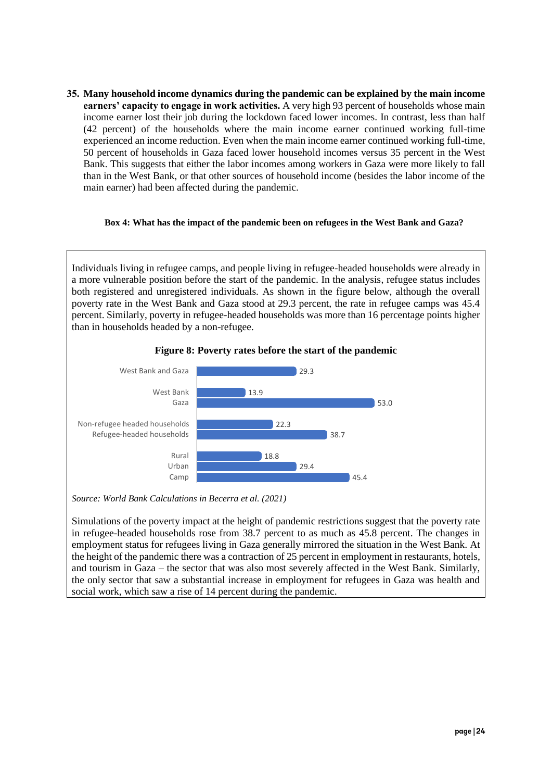**35. Many household income dynamics during the pandemic can be explained by the main income earners' capacity to engage in work activities.** A very high 93 percent of households whose main income earner lost their job during the lockdown faced lower incomes. In contrast, less than half (42 percent) of the households where the main income earner continued working full-time experienced an income reduction. Even when the main income earner continued working full-time, 50 percent of households in Gaza faced lower household incomes versus 35 percent in the West Bank. This suggests that either the labor incomes among workers in Gaza were more likely to fall than in the West Bank, or that other sources of household income (besides the labor income of the main earner) had been affected during the pandemic.

#### <span id="page-24-1"></span>**Box 4: What has the impact of the pandemic been on refugees in the West Bank and Gaza?**

Individuals living in refugee camps, and people living in refugee-headed households were already in a more vulnerable position before the start of the pandemic. In the analysis, refugee status includes both registered and unregistered individuals. As shown in the figure below, although the overall poverty rate in the West Bank and Gaza stood at 29.3 percent, the rate in refugee camps was 45.4 percent. Similarly, poverty in refugee-headed households was more than 16 percentage points higher than in households headed by a non-refugee.

<span id="page-24-0"></span>

**Figure 8: Poverty rates before the start of the pandemic**

*Source: World Bank Calculations in Becerra et al. (2021)*

Simulations of the poverty impact at the height of pandemic restrictions suggest that the poverty rate in refugee-headed households rose from 38.7 percent to as much as 45.8 percent. The changes in employment status for refugees living in Gaza generally mirrored the situation in the West Bank. At the height of the pandemic there was a contraction of 25 percent in employment in restaurants, hotels, and tourism in Gaza – the sector that was also most severely affected in the West Bank. Similarly, the only sector that saw a substantial increase in employment for refugees in Gaza was health and social work, which saw a rise of 14 percent during the pandemic.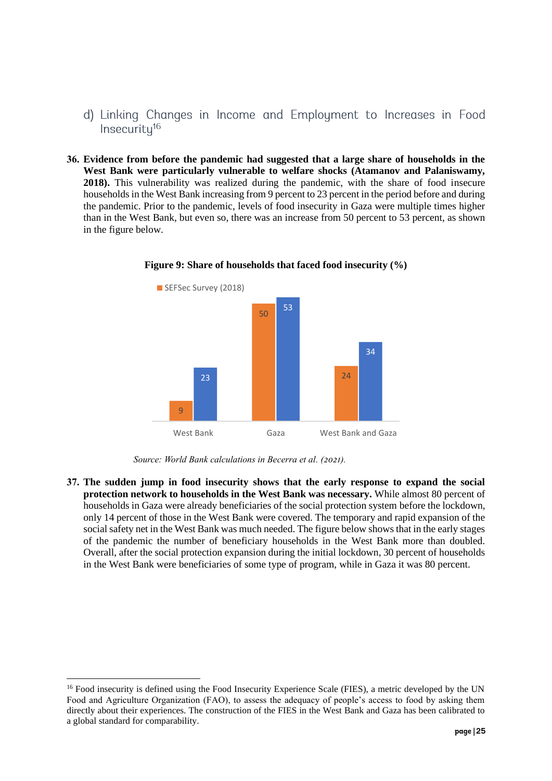- <span id="page-25-0"></span>d) Linking Changes in Income and Employment to Increases in Food Insecuritu<sup>16</sup>
- **36. Evidence from before the pandemic had suggested that a large share of households in the West Bank were particularly vulnerable to welfare shocks (Atamanov and Palaniswamy, 2018).** This vulnerability was realized during the pandemic, with the share of food insecure households in the West Bank increasing from 9 percent to 23 percent in the period before and during the pandemic. Prior to the pandemic, levels of food insecurity in Gaza were multiple times higher than in the West Bank, but even so, there was an increase from 50 percent to 53 percent, as shown in the figure below.

<span id="page-25-1"></span>

**Figure 9: Share of households that faced food insecurity (%)**

**37. The sudden jump in food insecurity shows that the early response to expand the social protection network to households in the West Bank was necessary.** While almost 80 percent of households in Gaza were already beneficiaries of the social protection system before the lockdown, only 14 percent of those in the West Bank were covered. The temporary and rapid expansion of the social safety net in the West Bank was much needed. The figure below shows that in the early stages of the pandemic the number of beneficiary households in the West Bank more than doubled. Overall, after the social protection expansion during the initial lockdown, 30 percent of households in the West Bank were beneficiaries of some type of program, while in Gaza it was 80 percent.

*Source: World Bank calculations in Becerra et al. (2021).*

<sup>&</sup>lt;sup>16</sup> Food insecurity is defined using the Food Insecurity Experience Scale (FIES), a metric developed by the UN Food and Agriculture Organization (FAO), to assess the adequacy of people's access to food by asking them directly about their experiences. The construction of the FIES in the West Bank and Gaza has been calibrated to a global standard for comparability.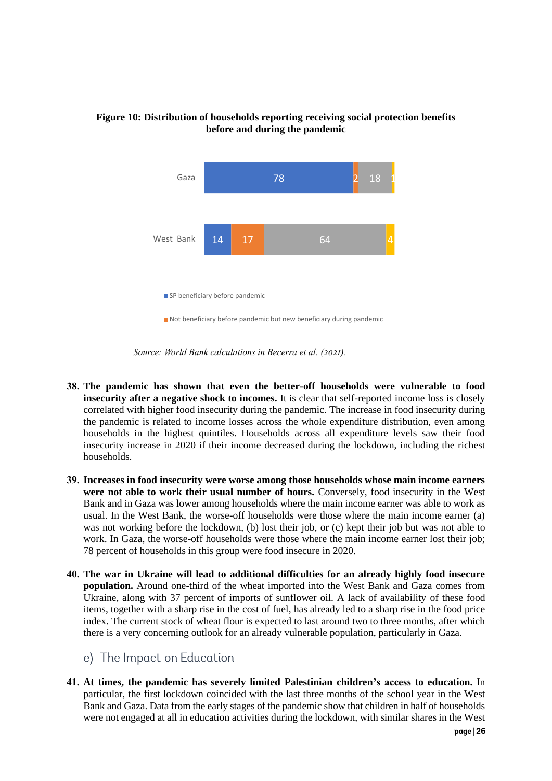

#### <span id="page-26-1"></span>**Figure 10: Distribution of households reporting receiving social protection benefits before and during the pandemic**

- **38. The pandemic has shown that even the better-off households were vulnerable to food insecurity after a negative shock to incomes.** It is clear that self-reported income loss is closely correlated with higher food insecurity during the pandemic. The increase in food insecurity during the pandemic is related to income losses across the whole expenditure distribution, even among households in the highest quintiles. Households across all expenditure levels saw their food insecurity increase in 2020 if their income decreased during the lockdown, including the richest households.
- **39. Increases in food insecurity were worse among those households whose main income earners**  were not able to work their usual number of hours. Conversely, food insecurity in the West Bank and in Gaza was lower among households where the main income earner was able to work as usual. In the West Bank, the worse-off households were those where the main income earner (a) was not working before the lockdown, (b) lost their job, or (c) kept their job but was not able to work. In Gaza, the worse-off households were those where the main income earner lost their job; 78 percent of households in this group were food insecure in 2020.
- **40. The war in Ukraine will lead to additional difficulties for an already highly food insecure population.** Around one-third of the wheat imported into the West Bank and Gaza comes from Ukraine, along with 37 percent of imports of sunflower oil. A lack of availability of these food items, together with a sharp rise in the cost of fuel, has already led to a sharp rise in the food price index. The current stock of wheat flour is expected to last around two to three months, after which there is a very concerning outlook for an already vulnerable population, particularly in Gaza.
	- e) The Impact on Education
- <span id="page-26-0"></span>**41. At times, the pandemic has severely limited Palestinian children's access to education.** In particular, the first lockdown coincided with the last three months of the school year in the West Bank and Gaza. Data from the early stages of the pandemic show that children in half of households were not engaged at all in education activities during the lockdown, with similar shares in the West

*Source: World Bank calculations in Becerra et al. (2021).*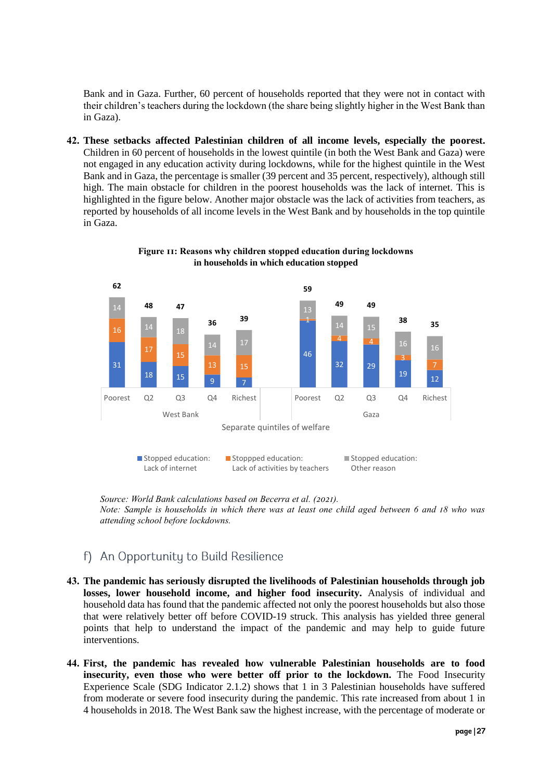Bank and in Gaza. Further, 60 percent of households reported that they were not in contact with their children's teachers during the lockdown (the share being slightly higher in the West Bank than in Gaza).

**42. These setbacks affected Palestinian children of all income levels, especially the poorest.**  Children in 60 percent of households in the lowest quintile (in both the West Bank and Gaza) were not engaged in any education activity during lockdowns, while for the highest quintile in the West Bank and in Gaza, the percentage is smaller (39 percent and 35 percent, respectively), although still high. The main obstacle for children in the poorest households was the lack of internet. This is highlighted in the figure below. Another major obstacle was the lack of activities from teachers, as reported by households of all income levels in the West Bank and by households in the top quintile in Gaza.

<span id="page-27-1"></span>

**Figure 11: Reasons why children stopped education during lockdowns in households in which education stopped**

*Source: World Bank calculations based on Becerra et al. (2021). Note: Sample is households in which there was at least one child aged between 6 and 18 who was attending school before lockdowns.*

## <span id="page-27-0"></span>f) An Opportunity to Build Resilience

- **43. The pandemic has seriously disrupted the livelihoods of Palestinian households through job losses, lower household income, and higher food insecurity.** Analysis of individual and household data has found that the pandemic affected not only the poorest households but also those that were relatively better off before COVID-19 struck. This analysis has yielded three general points that help to understand the impact of the pandemic and may help to guide future interventions.
- **44. First, the pandemic has revealed how vulnerable Palestinian households are to food insecurity, even those who were better off prior to the lockdown.** The Food Insecurity Experience Scale (SDG Indicator 2.1.2) shows that 1 in 3 Palestinian households have suffered from moderate or severe food insecurity during the pandemic. This rate increased from about 1 in 4 households in 2018. The West Bank saw the highest increase, with the percentage of moderate or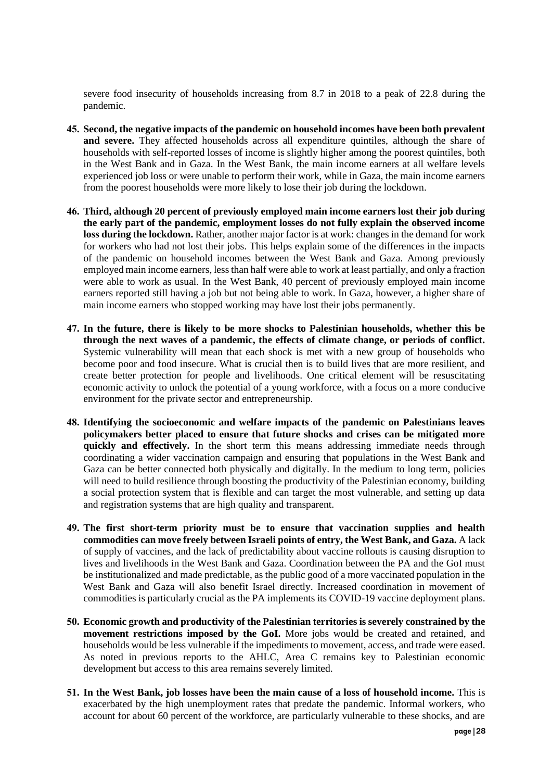severe food insecurity of households increasing from 8.7 in 2018 to a peak of 22.8 during the pandemic.

- **45. Second, the negative impacts of the pandemic on household incomes have been both prevalent and severe.** They affected households across all expenditure quintiles, although the share of households with self-reported losses of income is slightly higher among the poorest quintiles, both in the West Bank and in Gaza. In the West Bank, the main income earners at all welfare levels experienced job loss or were unable to perform their work, while in Gaza, the main income earners from the poorest households were more likely to lose their job during the lockdown.
- **46. Third, although 20 percent of previously employed main income earners lost their job during the early part of the pandemic, employment losses do not fully explain the observed income loss during the lockdown.** Rather, another major factor is at work: changes in the demand for work for workers who had not lost their jobs. This helps explain some of the differences in the impacts of the pandemic on household incomes between the West Bank and Gaza. Among previously employed main income earners, less than half were able to work at least partially, and only a fraction were able to work as usual. In the West Bank, 40 percent of previously employed main income earners reported still having a job but not being able to work. In Gaza, however, a higher share of main income earners who stopped working may have lost their jobs permanently.
- **47. In the future, there is likely to be more shocks to Palestinian households, whether this be through the next waves of a pandemic, the effects of climate change, or periods of conflict.**  Systemic vulnerability will mean that each shock is met with a new group of households who become poor and food insecure. What is crucial then is to build lives that are more resilient, and create better protection for people and livelihoods. One critical element will be resuscitating economic activity to unlock the potential of a young workforce, with a focus on a more conducive environment for the private sector and entrepreneurship.
- **48. Identifying the socioeconomic and welfare impacts of the pandemic on Palestinians leaves policymakers better placed to ensure that future shocks and crises can be mitigated more quickly and effectively.** In the short term this means addressing immediate needs through coordinating a wider vaccination campaign and ensuring that populations in the West Bank and Gaza can be better connected both physically and digitally. In the medium to long term, policies will need to build resilience through boosting the productivity of the Palestinian economy, building a social protection system that is flexible and can target the most vulnerable, and setting up data and registration systems that are high quality and transparent.
- **49. The first short-term priority must be to ensure that vaccination supplies and health commodities can move freely between Israeli points of entry, the West Bank, and Gaza.** A lack of supply of vaccines, and the lack of predictability about vaccine rollouts is causing disruption to lives and livelihoods in the West Bank and Gaza. Coordination between the PA and the GoI must be institutionalized and made predictable, as the public good of a more vaccinated population in the West Bank and Gaza will also benefit Israel directly. Increased coordination in movement of commodities is particularly crucial as the PA implements its COVID-19 vaccine deployment plans.
- **50. Economic growth and productivity of the Palestinian territories is severely constrained by the movement restrictions imposed by the GoI.** More jobs would be created and retained, and households would be less vulnerable if the impediments to movement, access, and trade were eased. As noted in previous reports to the AHLC, Area C remains key to Palestinian economic development but access to this area remains severely limited.
- **51. In the West Bank, job losses have been the main cause of a loss of household income.** This is exacerbated by the high unemployment rates that predate the pandemic. Informal workers, who account for about 60 percent of the workforce, are particularly vulnerable to these shocks, and are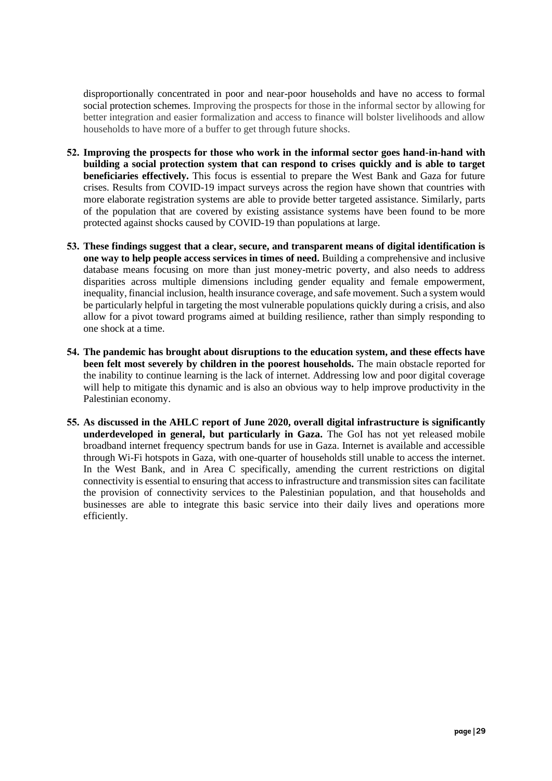disproportionally concentrated in poor and near-poor households and have no access to formal social protection schemes. Improving the prospects for those in the informal sector by allowing for better integration and easier formalization and access to finance will bolster livelihoods and allow households to have more of a buffer to get through future shocks.

- **52. Improving the prospects for those who work in the informal sector goes hand-in-hand with building a social protection system that can respond to crises quickly and is able to target beneficiaries effectively.** This focus is essential to prepare the West Bank and Gaza for future crises. Results from COVID-19 impact surveys across the region have shown that countries with more elaborate registration systems are able to provide better targeted assistance. Similarly, parts of the population that are covered by existing assistance systems have been found to be more protected against shocks caused by COVID-19 than populations at large.
- **53. These findings suggest that a clear, secure, and transparent means of digital identification is one way to help people access services in times of need.** Building a comprehensive and inclusive database means focusing on more than just money-metric poverty, and also needs to address disparities across multiple dimensions including gender equality and female empowerment, inequality, financial inclusion, health insurance coverage, and safe movement. Such a system would be particularly helpful in targeting the most vulnerable populations quickly during a crisis, and also allow for a pivot toward programs aimed at building resilience, rather than simply responding to one shock at a time.
- **54. The pandemic has brought about disruptions to the education system, and these effects have been felt most severely by children in the poorest households.** The main obstacle reported for the inability to continue learning is the lack of internet. Addressing low and poor digital coverage will help to mitigate this dynamic and is also an obvious way to help improve productivity in the Palestinian economy.
- **55. As discussed in the AHLC report of June 2020, overall digital infrastructure is significantly underdeveloped in general, but particularly in Gaza.** The GoI has not yet released mobile broadband internet frequency spectrum bands for use in Gaza. Internet is available and accessible through Wi-Fi hotspots in Gaza, with one-quarter of households still unable to access the internet. In the West Bank, and in Area C specifically, amending the current restrictions on digital connectivity is essential to ensuring that access to infrastructure and transmission sites can facilitate the provision of connectivity services to the Palestinian population, and that households and businesses are able to integrate this basic service into their daily lives and operations more efficiently.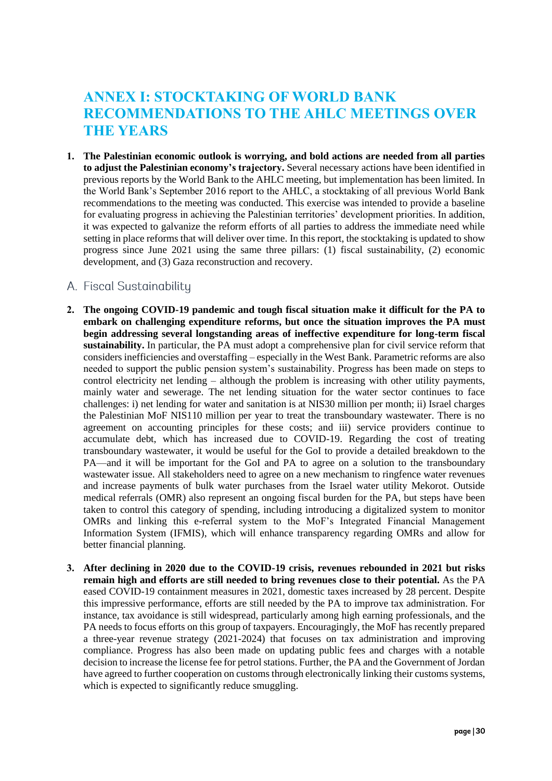# **ANNEX I: STOCKTAKING OF WORLD BANK RECOMMENDATIONS TO THE AHLC MEETINGS OVER THE YEARS**

**1. The Palestinian economic outlook is worrying, and bold actions are needed from all parties to adjust the Palestinian economy's trajectory.** Several necessary actions have been identified in previous reports by the World Bank to the AHLC meeting, but implementation has been limited. In the World Bank's September 2016 report to the AHLC, a stocktaking of all previous World Bank recommendations to the meeting was conducted. This exercise was intended to provide a baseline for evaluating progress in achieving the Palestinian territories' development priorities. In addition, it was expected to galvanize the reform efforts of all parties to address the immediate need while setting in place reforms that will deliver over time. In this report, the stocktaking is updated to show progress since June 2021 using the same three pillars: (1) fiscal sustainability, (2) economic development, and (3) Gaza reconstruction and recovery.

## <span id="page-30-0"></span>A. Fiscal Sustainability

- **2. The ongoing COVID-19 pandemic and tough fiscal situation make it difficult for the PA to embark on challenging expenditure reforms, but once the situation improves the PA must begin addressing several longstanding areas of ineffective expenditure for long-term fiscal sustainability.** In particular, the PA must adopt a comprehensive plan for civil service reform that considers inefficiencies and overstaffing – especially in the West Bank. Parametric reforms are also needed to support the public pension system's sustainability. Progress has been made on steps to control electricity net lending – although the problem is increasing with other utility payments, mainly water and sewerage. The net lending situation for the water sector continues to face challenges: i) net lending for water and sanitation is at NIS30 million per month; ii) Israel charges the Palestinian MoF NIS110 million per year to treat the transboundary wastewater. There is no agreement on accounting principles for these costs; and iii) service providers continue to accumulate debt, which has increased due to COVID-19. Regarding the cost of treating transboundary wastewater, it would be useful for the GoI to provide a detailed breakdown to the PA—and it will be important for the GoI and PA to agree on a solution to the transboundary wastewater issue. All stakeholders need to agree on a new mechanism to ringfence water revenues and increase payments of bulk water purchases from the Israel water utility Mekorot. Outside medical referrals (OMR) also represent an ongoing fiscal burden for the PA, but steps have been taken to control this category of spending, including introducing a digitalized system to monitor OMRs and linking this e-referral system to the MoF's Integrated Financial Management Information System (IFMIS), which will enhance transparency regarding OMRs and allow for better financial planning.
- **3. After declining in 2020 due to the COVID-19 crisis, revenues rebounded in 2021 but risks remain high and efforts are still needed to bring revenues close to their potential.** As the PA eased COVID-19 containment measures in 2021, domestic taxes increased by 28 percent. Despite this impressive performance, efforts are still needed by the PA to improve tax administration. For instance, tax avoidance is still widespread, particularly among high earning professionals, and the PA needs to focus efforts on this group of taxpayers. Encouragingly, the MoF has recently prepared a three-year revenue strategy (2021-2024) that focuses on tax administration and improving compliance. Progress has also been made on updating public fees and charges with a notable decision to increase the license fee for petrol stations. Further, the PA and the Government of Jordan have agreed to further cooperation on customs through electronically linking their customs systems, which is expected to significantly reduce smuggling.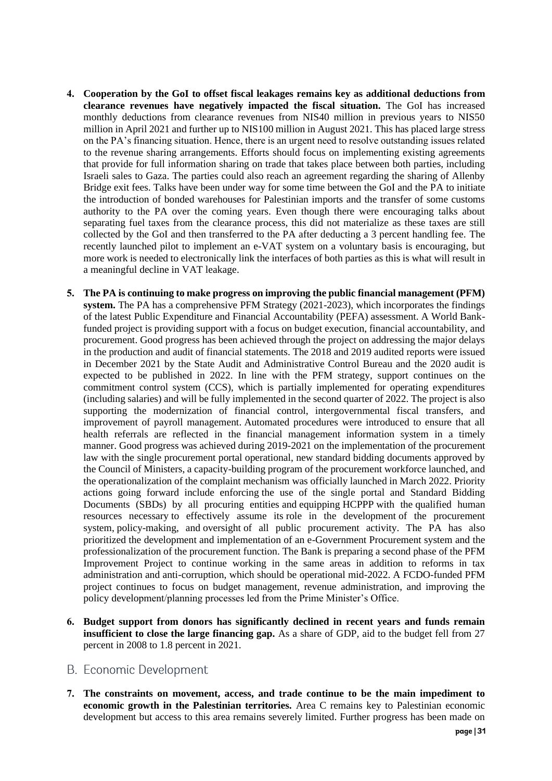- **4. Cooperation by the GoI to offset fiscal leakages remains key as additional deductions from clearance revenues have negatively impacted the fiscal situation.** The GoI has increased monthly deductions from clearance revenues from NIS40 million in previous years to NIS50 million in April 2021 and further up to NIS100 million in August 2021. This has placed large stress on the PA's financing situation. Hence, there is an urgent need to resolve outstanding issues related to the revenue sharing arrangements. Efforts should focus on implementing existing agreements that provide for full information sharing on trade that takes place between both parties, including Israeli sales to Gaza. The parties could also reach an agreement regarding the sharing of Allenby Bridge exit fees. Talks have been under way for some time between the GoI and the PA to initiate the introduction of bonded warehouses for Palestinian imports and the transfer of some customs authority to the PA over the coming years. Even though there were encouraging talks about separating fuel taxes from the clearance process, this did not materialize as these taxes are still collected by the GoI and then transferred to the PA after deducting a 3 percent handling fee. The recently launched pilot to implement an e-VAT system on a voluntary basis is encouraging, but more work is needed to electronically link the interfaces of both parties as this is what will result in a meaningful decline in VAT leakage.
- **5. The PA is continuing to make progress on improving the public financial management (PFM) system.** The PA has a comprehensive PFM Strategy (2021-2023), which incorporates the findings of the latest Public Expenditure and Financial Accountability (PEFA) assessment. A World Bankfunded project is providing support with a focus on budget execution, financial accountability, and procurement. Good progress has been achieved through the project on addressing the major delays in the production and audit of financial statements. The 2018 and 2019 audited reports were issued in December 2021 by the State Audit and Administrative Control Bureau and the 2020 audit is expected to be published in 2022. In line with the PFM strategy, support continues on the commitment control system (CCS), which is partially implemented for operating expenditures (including salaries) and will be fully implemented in the second quarter of 2022. The project is also supporting the modernization of financial control, intergovernmental fiscal transfers, and improvement of payroll management. Automated procedures were introduced to ensure that all health referrals are reflected in the financial management information system in a timely manner. Good progress was achieved during 2019-2021 on the implementation of the procurement law with the single procurement portal operational, new standard bidding documents approved by the Council of Ministers, a capacity-building program of the procurement workforce launched, and the operationalization of the complaint mechanism was officially launched in March 2022. Priority actions going forward include enforcing the use of the single portal and Standard Bidding Documents (SBDs) by all procuring entities and equipping HCPPP with the qualified human resources necessary to effectively assume its role in the development of the procurement system, policy-making, and oversight of all public procurement activity. The PA has also prioritized the development and implementation of an e-Government Procurement system and the professionalization of the procurement function. The Bank is preparing a second phase of the PFM Improvement Project to continue working in the same areas in addition to reforms in tax administration and anti-corruption, which should be operational mid-2022. A FCDO-funded PFM project continues to focus on budget management, revenue administration, and improving the policy development/planning processes led from the Prime Minister's Office.
- **6. Budget support from donors has significantly declined in recent years and funds remain insufficient to close the large financing gap.** As a share of GDP, aid to the budget fell from 27 percent in 2008 to 1.8 percent in 2021.

#### <span id="page-31-0"></span>**B.** Economic Development

**7. The constraints on movement, access, and trade continue to be the main impediment to economic growth in the Palestinian territories.** Area C remains key to Palestinian economic development but access to this area remains severely limited. Further progress has been made on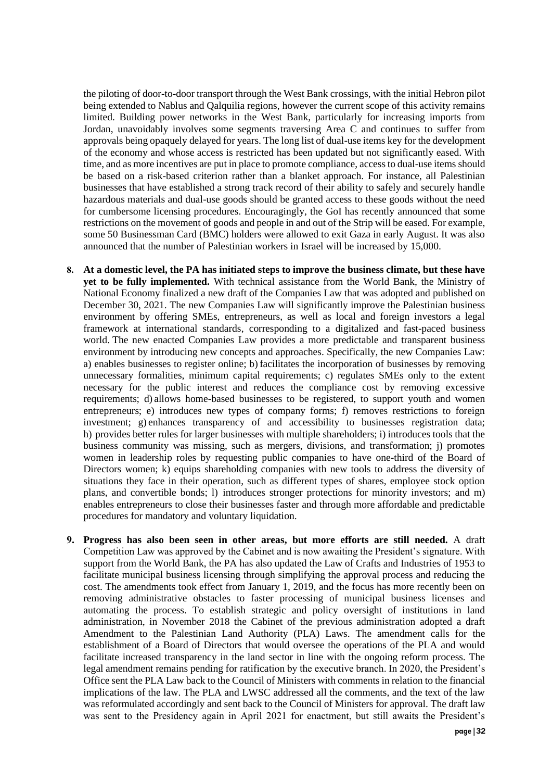the piloting of door-to-door transport through the West Bank crossings, with the initial Hebron pilot being extended to Nablus and Qalquilia regions, however the current scope of this activity remains limited. Building power networks in the West Bank, particularly for increasing imports from Jordan, unavoidably involves some segments traversing Area C and continues to suffer from approvals being opaquely delayed for years. The long list of dual-use items key for the development of the economy and whose access is restricted has been updated but not significantly eased. With time, and as more incentives are put in place to promote compliance, access to dual-use items should be based on a risk-based criterion rather than a blanket approach. For instance, all Palestinian businesses that have established a strong track record of their ability to safely and securely handle hazardous materials and dual-use goods should be granted access to these goods without the need for cumbersome licensing procedures. Encouragingly, the GoI has recently announced that some restrictions on the movement of goods and people in and out of the Strip will be eased. For example, some 50 Businessman Card (BMC) holders were allowed to exit Gaza in early August. It was also announced that the number of Palestinian workers in Israel will be increased by 15,000.

- **8. At a domestic level, the PA has initiated steps to improve the business climate, but these have yet to be fully implemented.** With technical assistance from the World Bank, the Ministry of National Economy finalized a new draft of the Companies Law that was adopted and published on December 30, 2021. The new Companies Law will significantly improve the Palestinian business environment by offering SMEs, entrepreneurs, as well as local and foreign investors a legal framework at international standards, corresponding to a digitalized and fast-paced business world. The new enacted Companies Law provides a more predictable and transparent business environment by introducing new concepts and approaches. Specifically, the new Companies Law: a) enables businesses to register online; b) facilitates the incorporation of businesses by removing unnecessary formalities, minimum capital requirements; c) regulates SMEs only to the extent necessary for the public interest and reduces the compliance cost by removing excessive requirements; d) allows home-based businesses to be registered, to support youth and women entrepreneurs; e) introduces new types of company forms; f) removes restrictions to foreign investment; g) enhances transparency of and accessibility to businesses registration data; h) provides better rules for larger businesses with multiple shareholders; i) introduces tools that the business community was missing, such as mergers, divisions, and transformation; j) promotes women in leadership roles by requesting public companies to have one-third of the Board of Directors women; k) equips shareholding companies with new tools to address the diversity of situations they face in their operation, such as different types of shares, employee stock option plans, and convertible bonds; l) introduces stronger protections for minority investors; and m) enables entrepreneurs to close their businesses faster and through more affordable and predictable procedures for mandatory and voluntary liquidation.
- **9. Progress has also been seen in other areas, but more efforts are still needed.** A draft Competition Law was approved by the Cabinet and is now awaiting the President's signature. With support from the World Bank, the PA has also updated the Law of Crafts and Industries of 1953 to facilitate municipal business licensing through simplifying the approval process and reducing the cost. The amendments took effect from January 1, 2019, and the focus has more recently been on removing administrative obstacles to faster processing of municipal business licenses and automating the process. To establish strategic and policy oversight of institutions in land administration, in November 2018 the Cabinet of the previous administration adopted a draft Amendment to the Palestinian Land Authority (PLA) Laws. The amendment calls for the establishment of a Board of Directors that would oversee the operations of the PLA and would facilitate increased transparency in the land sector in line with the ongoing reform process. The legal amendment remains pending for ratification by the executive branch. In 2020, the President's Office sent the PLA Law back to the Council of Ministers with comments in relation to the financial implications of the law. The PLA and LWSC addressed all the comments, and the text of the law was reformulated accordingly and sent back to the Council of Ministers for approval. The draft law was sent to the Presidency again in April 2021 for enactment, but still awaits the President's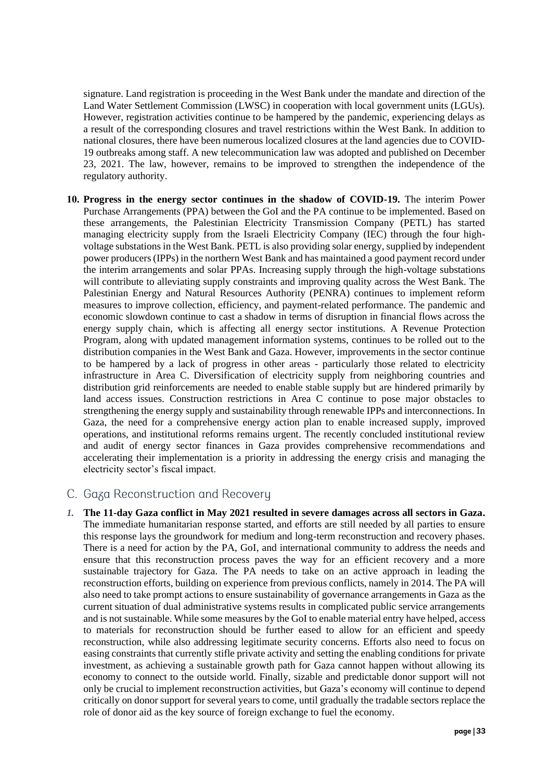signature. Land registration is proceeding in the West Bank under the mandate and direction of the Land Water Settlement Commission (LWSC) in cooperation with local government units (LGUs). However, registration activities continue to be hampered by the pandemic, experiencing delays as a result of the corresponding closures and travel restrictions within the West Bank. In addition to national closures, there have been numerous localized closures at the land agencies due to COVID-19 outbreaks among staff. A new telecommunication law was adopted and published on December 23, 2021. The law, however, remains to be improved to strengthen the independence of the regulatory authority.

**10. Progress in the energy sector continues in the shadow of COVID-19.** The interim Power Purchase Arrangements (PPA) between the GoI and the PA continue to be implemented. Based on these arrangements, the Palestinian Electricity Transmission Company (PETL) has started managing electricity supply from the Israeli Electricity Company (IEC) through the four highvoltage substations in the West Bank. PETL is also providing solar energy, supplied by independent power producers (IPPs) in the northern West Bank and has maintained a good payment record under the interim arrangements and solar PPAs. Increasing supply through the high-voltage substations will contribute to alleviating supply constraints and improving quality across the West Bank. The Palestinian Energy and Natural Resources Authority (PENRA) continues to implement reform measures to improve collection, efficiency, and payment-related performance. The pandemic and economic slowdown continue to cast a shadow in terms of disruption in financial flows across the energy supply chain, which is affecting all energy sector institutions. A Revenue Protection Program, along with updated management information systems, continues to be rolled out to the distribution companies in the West Bank and Gaza. However, improvements in the sector continue to be hampered by a lack of progress in other areas - particularly those related to electricity infrastructure in Area C. Diversification of electricity supply from neighboring countries and distribution grid reinforcements are needed to enable stable supply but are hindered primarily by land access issues. Construction restrictions in Area C continue to pose major obstacles to strengthening the energy supply and sustainability through renewable IPPs and interconnections. In Gaza, the need for a comprehensive energy action plan to enable increased supply, improved operations, and institutional reforms remains urgent. The recently concluded institutional review and audit of energy sector finances in Gaza provides comprehensive recommendations and accelerating their implementation is a priority in addressing the energy crisis and managing the electricity sector's fiscal impact.

## C. Gaza Reconstruction and Recovery

*1.* **The 11-day Gaza conflict in May 2021 resulted in severe damages across all sectors in Gaza.** The immediate humanitarian response started, and efforts are still needed by all parties to ensure this response lays the groundwork for medium and long-term reconstruction and recovery phases. There is a need for action by the PA, GoI, and international community to address the needs and ensure that this reconstruction process paves the way for an efficient recovery and a more sustainable trajectory for Gaza. The PA needs to take on an active approach in leading the reconstruction efforts, building on experience from previous conflicts, namely in 2014. The PA will also need to take prompt actions to ensure sustainability of governance arrangements in Gaza as the current situation of dual administrative systems results in complicated public service arrangements and is not sustainable. While some measures by the GoI to enable material entry have helped, access to materials for reconstruction should be further eased to allow for an efficient and speedy reconstruction, while also addressing legitimate security concerns. Efforts also need to focus on easing constraints that currently stifle private activity and setting the enabling conditions for private investment, as achieving a sustainable growth path for Gaza cannot happen without allowing its economy to connect to the outside world. Finally, sizable and predictable donor support will not only be crucial to implement reconstruction activities, but Gaza's economy will continue to depend critically on donor support for several years to come, until gradually the tradable sectors replace the role of donor aid as the key source of foreign exchange to fuel the economy.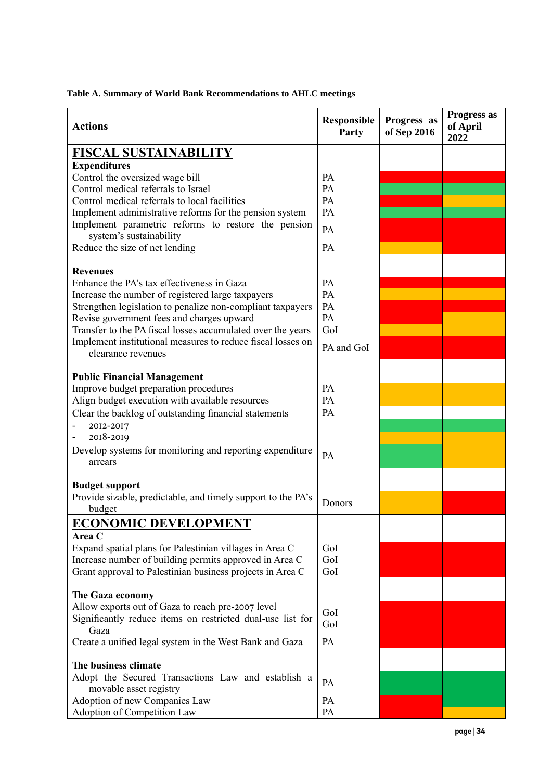|  |  | Table A. Summary of World Bank Recommendations to AHLC meetings |
|--|--|-----------------------------------------------------------------|
|  |  |                                                                 |

| <b>Actions</b>                                                                    | <b>Responsible</b><br><b>Party</b> | Progress as<br>of Sep 2016 | Progress as<br>of April<br>2022 |
|-----------------------------------------------------------------------------------|------------------------------------|----------------------------|---------------------------------|
| <b>FISCAL SUSTAINABILITY</b>                                                      |                                    |                            |                                 |
| <b>Expenditures</b>                                                               |                                    |                            |                                 |
| Control the oversized wage bill                                                   | PA                                 |                            |                                 |
| Control medical referrals to Israel                                               | PA                                 |                            |                                 |
| Control medical referrals to local facilities                                     | PA                                 |                            |                                 |
| Implement administrative reforms for the pension system                           | PA                                 |                            |                                 |
| Implement parametric reforms to restore the pension<br>system's sustainability    | PA                                 |                            |                                 |
| Reduce the size of net lending                                                    | PA                                 |                            |                                 |
| <b>Revenues</b>                                                                   |                                    |                            |                                 |
| Enhance the PA's tax effectiveness in Gaza                                        | PA                                 |                            |                                 |
| Increase the number of registered large taxpayers                                 | PA                                 |                            |                                 |
| Strengthen legislation to penalize non-compliant taxpayers                        | PA                                 |                            |                                 |
| Revise government fees and charges upward                                         | PA                                 |                            |                                 |
| Transfer to the PA fiscal losses accumulated over the years                       | GoI                                |                            |                                 |
| Implement institutional measures to reduce fiscal losses on<br>clearance revenues | PA and GoI                         |                            |                                 |
|                                                                                   |                                    |                            |                                 |
| <b>Public Financial Management</b><br>Improve budget preparation procedures       | PA                                 |                            |                                 |
| Align budget execution with available resources                                   | PA                                 |                            |                                 |
|                                                                                   | PA                                 |                            |                                 |
| Clear the backlog of outstanding financial statements                             |                                    |                            |                                 |
| 2012-2017<br>2018-2019                                                            |                                    |                            |                                 |
|                                                                                   |                                    |                            |                                 |
| Develop systems for monitoring and reporting expenditure<br>arrears               | PA                                 |                            |                                 |
| <b>Budget support</b>                                                             |                                    |                            |                                 |
| Provide sizable, predictable, and timely support to the PA's                      |                                    |                            |                                 |
| budget                                                                            | Donors                             |                            |                                 |
| <b>ECONOMIC DEVELOPMENT</b>                                                       |                                    |                            |                                 |
| <b>Area C</b>                                                                     |                                    |                            |                                 |
| Expand spatial plans for Palestinian villages in Area C                           | GoI                                |                            |                                 |
| Increase number of building permits approved in Area C                            | GoI                                |                            |                                 |
| Grant approval to Palestinian business projects in Area C                         | GoI                                |                            |                                 |
| The Gaza economy                                                                  |                                    |                            |                                 |
| Allow exports out of Gaza to reach pre-2007 level                                 |                                    |                            |                                 |
| Significantly reduce items on restricted dual-use list for<br>Gaza                | GoI<br>GoI                         |                            |                                 |
| Create a unified legal system in the West Bank and Gaza                           | PA                                 |                            |                                 |
| The business climate                                                              |                                    |                            |                                 |
| Adopt the Secured Transactions Law and establish a                                |                                    |                            |                                 |
| movable asset registry                                                            | PA                                 |                            |                                 |
| Adoption of new Companies Law                                                     | PA                                 |                            |                                 |
| Adoption of Competition Law                                                       | PA                                 |                            |                                 |